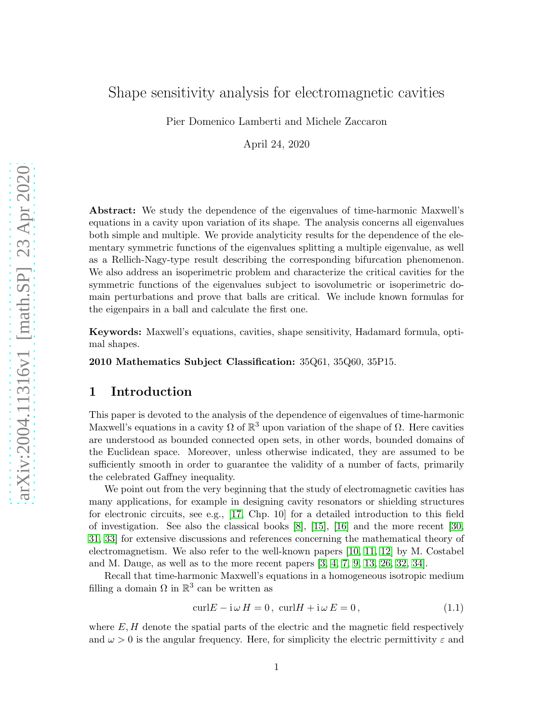# Shape sensitivity analysis for electromagnetic cavities

Pier Domenico Lamberti and Michele Zaccaron

April 24, 2020

Abstract: We study the dependence of the eigenvalues of time-harmonic Maxwell's equations in a cavity upon variation of its shape. The analysis concerns all eigenvalues both simple and multiple. We provide analyticity results for the dependence of the elementary symmetric functions of the eigenvalues splitting a multiple eigenvalue, as well as a Rellich-Nagy-type result describing the corresponding bifurcation phenomenon. We also address an isoperimetric problem and characterize the critical cavities for the symmetric functions of the eigenvalues subject to isovolumetric or isoperimetric domain perturbations and prove that balls are critical. We include known formulas for the eigenpairs in a ball and calculate the first one.

Keywords: Maxwell's equations, cavities, shape sensitivity, Hadamard formula, optimal shapes.

2010 Mathematics Subject Classification: 35Q61, 35Q60, 35P15.

### 1 Introduction

This paper is devoted to the analysis of the dependence of eigenvalues of time-harmonic Maxwell's equations in a cavity  $\Omega$  of  $\mathbb{R}^3$  upon variation of the shape of  $\Omega$ . Here cavities are understood as bounded connected open sets, in other words, bounded domains of the Euclidean space. Moreover, unless otherwise indicated, they are assumed to be sufficiently smooth in order to guarantee the validity of a number of facts, primarily the celebrated Gaffney inequality.

We point out from the very beginning that the study of electromagnetic cavities has many applications, for example in designing cavity resonators or shielding structures for electronic circuits, see e.g., [\[17,](#page-27-0) Chp. 10] for a detailed introduction to this field of investigation. See also the classical books [\[8\]](#page-26-0), [\[15\]](#page-27-1), [\[16\]](#page-27-2) and the more recent [\[30,](#page-28-0) [31,](#page-28-1) [33\]](#page-28-2) for extensive discussions and references concerning the mathematical theory of electromagnetism. We also refer to the well-known papers [\[10,](#page-27-3) [11,](#page-27-4) [12\]](#page-27-5) by M. Costabel and M. Dauge, as well as to the more recent papers  $[3, 4, 7, 9, 13, 26, 32, 34]$  $[3, 4, 7, 9, 13, 26, 32, 34]$  $[3, 4, 7, 9, 13, 26, 32, 34]$  $[3, 4, 7, 9, 13, 26, 32, 34]$  $[3, 4, 7, 9, 13, 26, 32, 34]$  $[3, 4, 7, 9, 13, 26, 32, 34]$  $[3, 4, 7, 9, 13, 26, 32, 34]$  $[3, 4, 7, 9, 13, 26, 32, 34]$ .

Recall that time-harmonic Maxwell's equations in a homogeneous isotropic medium filling a domain  $\Omega$  in  $\mathbb{R}^3$  can be written as

<span id="page-0-0"></span>
$$
\operatorname{curl} E - \mathrm{i} \,\omega \, H = 0, \, \operatorname{curl} H + \mathrm{i} \,\omega \, E = 0,\tag{1.1}
$$

where  $E, H$  denote the spatial parts of the electric and the magnetic field respectively and  $\omega > 0$  is the angular frequency. Here, for simplicity the electric permittivity  $\varepsilon$  and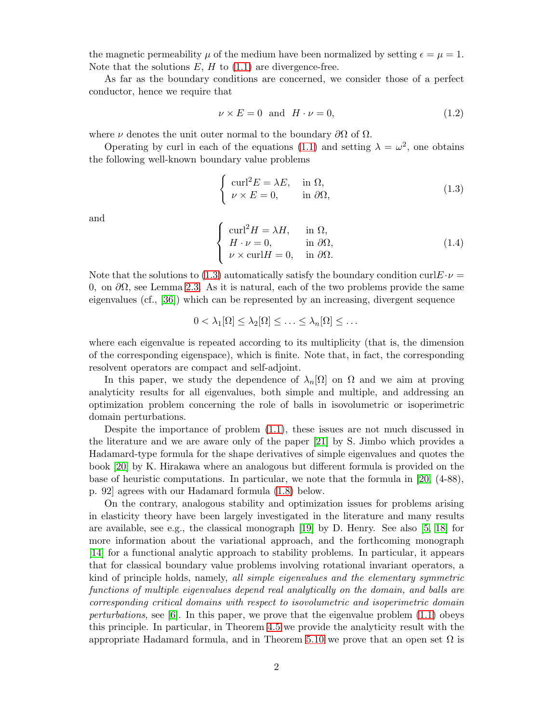the magnetic permeability  $\mu$  of the medium have been normalized by setting  $\epsilon = \mu = 1$ . Note that the solutions  $E$ ,  $H$  to  $(1.1)$  are divergence-free.

As far as the boundary conditions are concerned, we consider those of a perfect conductor, hence we require that

$$
\nu \times E = 0 \quad \text{and} \quad H \cdot \nu = 0,\tag{1.2}
$$

where  $\nu$  denotes the unit outer normal to the boundary  $\partial\Omega$  of  $\Omega$ .

Operating by curl in each of the equations [\(1.1\)](#page-0-0) and setting  $\lambda = \omega^2$ , one obtains the following well-known boundary value problems

<span id="page-1-0"></span>
$$
\begin{cases}\n\text{curl}^2 E = \lambda E, & \text{in } \Omega, \\
\nu \times E = 0, & \text{in } \partial \Omega,\n\end{cases}
$$
\n(1.3)

and

<span id="page-1-1"></span>
$$
\begin{cases}\n\text{curl}^2 H = \lambda H, & \text{in } \Omega, \\
H \cdot \nu = 0, & \text{in } \partial \Omega, \\
\nu \times \text{curl} H = 0, & \text{in } \partial \Omega.\n\end{cases}
$$
\n(1.4)

Note that the solutions to [\(1.3\)](#page-1-0) automatically satisfy the boundary condition curlE  $\nu$  = 0, on ∂Ω, see Lemma [2.3.](#page-5-0) As it is natural, each of the two problems provide the same eigenvalues (cf., [\[36\]](#page-28-6)) which can be represented by an increasing, divergent sequence

$$
0 < \lambda_1[\Omega] \leq \lambda_2[\Omega] \leq \ldots \leq \lambda_n[\Omega] \leq \ldots
$$

where each eigenvalue is repeated according to its multiplicity (that is, the dimension of the corresponding eigenspace), which is finite. Note that, in fact, the corresponding resolvent operators are compact and self-adjoint.

In this paper, we study the dependence of  $\lambda_n[\Omega]$  on  $\Omega$  and we aim at proving analyticity results for all eigenvalues, both simple and multiple, and addressing an optimization problem concerning the role of balls in isovolumetric or isoperimetric domain perturbations.

Despite the importance of problem [\(1.1\)](#page-0-0), these issues are not much discussed in the literature and we are aware only of the paper [\[21\]](#page-27-8) by S. Jimbo which provides a Hadamard-type formula for the shape derivatives of simple eigenvalues and quotes the book [\[20\]](#page-27-9) by K. Hirakawa where an analogous but different formula is provided on the base of heuristic computations. In particular, we note that the formula in [\[20,](#page-27-9) (4-88), p. 92] agrees with our Hadamard formula [\(1.8\)](#page-3-0) below.

On the contrary, analogous stability and optimization issues for problems arising in elasticity theory have been largely investigated in the literature and many results are available, see e.g., the classical monograph [\[19\]](#page-27-10) by D. Henry. See also [\[5,](#page-26-4) [18\]](#page-27-11) for more information about the variational approach, and the forthcoming monograph [\[14\]](#page-27-12) for a functional analytic approach to stability problems. In particular, it appears that for classical boundary value problems involving rotational invariant operators, a kind of principle holds, namely, all simple eigenvalues and the elementary symmetric functions of multiple eigenvalues depend real analytically on the domain, and balls are corresponding critical domains with respect to isovolumetric and isoperimetric domain perturbations, see [\[6\]](#page-26-5). In this paper, we prove that the eigenvalue problem  $(1.1)$  obeys this principle. In particular, in Theorem [4.5](#page-13-0) we provide the analyticity result with the appropriate Hadamard formula, and in Theorem [5.10](#page-21-0) we prove that an open set  $\Omega$  is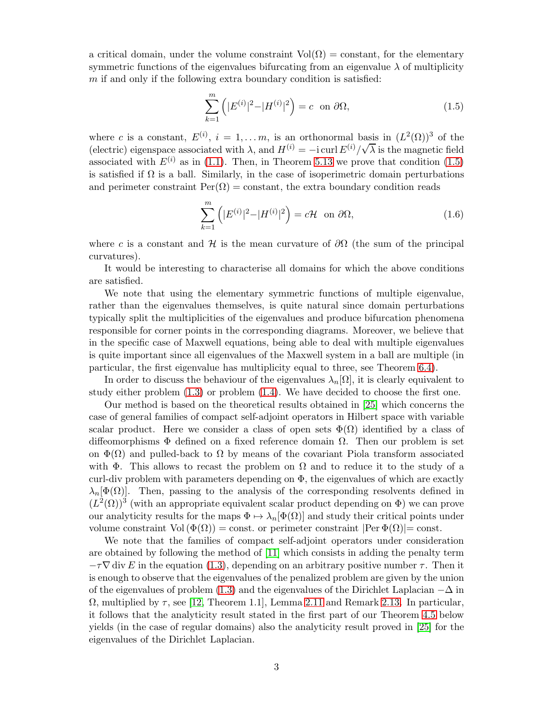a critical domain, under the volume constraint  $Vol(\Omega) = constant$ , for the elementary symmetric functions of the eigenvalues bifurcating from an eigenvalue  $\lambda$  of multiplicity  $m$  if and only if the following extra boundary condition is satisfied:

<span id="page-2-0"></span>
$$
\sum_{k=1}^{m} \left( |E^{(i)}|^2 - |H^{(i)}|^2 \right) = c \quad \text{on } \partial\Omega,
$$
\n(1.5)

where c is a constant,  $E^{(i)}$ ,  $i = 1,..., m$ , is an orthonormal basis in  $(L^2(\Omega))^3$  of the (electric) eigenspace associated with  $\lambda$ , and  $H^{(i)} = -i \text{ curl } E^{(i)} / \sqrt{\lambda}$  is the magnetic field associated with  $E^{(i)}$  as in [\(1.1\)](#page-0-0). Then, in Theorem [5.13](#page-22-0) we prove that condition [\(1.5\)](#page-2-0) is satisfied if  $\Omega$  is a ball. Similarly, in the case of isoperimetric domain perturbations and perimeter constraint  $\text{Per}(\Omega) = \text{constant}$ , the extra boundary condition reads

$$
\sum_{k=1}^{m} \left( |E^{(i)}|^2 - |H^{(i)}|^2 \right) = c\mathcal{H} \quad \text{on } \partial\Omega,
$$
\n(1.6)

where c is a constant and H is the mean curvature of  $\partial\Omega$  (the sum of the principal curvatures).

It would be interesting to characterise all domains for which the above conditions are satisfied.

We note that using the elementary symmetric functions of multiple eigenvalue, rather than the eigenvalues themselves, is quite natural since domain perturbations typically split the multiplicities of the eigenvalues and produce bifurcation phenomena responsible for corner points in the corresponding diagrams. Moreover, we believe that in the specific case of Maxwell equations, being able to deal with multiple eigenvalues is quite important since all eigenvalues of the Maxwell system in a ball are multiple (in particular, the first eigenvalue has multiplicity equal to three, see Theorem [6.4\)](#page-25-0).

In order to discuss the behaviour of the eigenvalues  $\lambda_n[\Omega]$ , it is clearly equivalent to study either problem [\(1.3\)](#page-1-0) or problem [\(1.4\)](#page-1-1). We have decided to choose the first one.

Our method is based on the theoretical results obtained in [\[25\]](#page-28-7) which concerns the case of general families of compact self-adjoint operators in Hilbert space with variable scalar product. Here we consider a class of open sets  $\Phi(\Omega)$  identified by a class of diffeomorphisms  $\Phi$  defined on a fixed reference domain  $\Omega$ . Then our problem is set on  $\Phi(\Omega)$  and pulled-back to  $\Omega$  by means of the covariant Piola transform associated with  $\Phi$ . This allows to recast the problem on  $\Omega$  and to reduce it to the study of a curl-div problem with parameters depending on  $\Phi$ , the eigenvalues of which are exactly  $\lambda_n[\Phi(\Omega)]$ . Then, passing to the analysis of the corresponding resolvents defined in  $(L^2(\Omega))^3$  (with an appropriate equivalent scalar product depending on  $\Phi$ ) we can prove our analyticity results for the maps  $\Phi \mapsto \lambda_n[\Phi(\Omega)]$  and study their critical points under volume constraint  $Vol(\Phi(\Omega)) = \text{const.}$  or perimeter constraint  $|Per \Phi(\Omega)| = \text{const.}$ 

We note that the families of compact self-adjoint operators under consideration are obtained by following the method of [\[11\]](#page-27-4) which consists in adding the penalty term  $-\tau\nabla$  div E in the equation [\(1.3\)](#page-1-0), depending on an arbitrary positive number  $\tau$ . Then it is enough to observe that the eigenvalues of the penalized problem are given by the union of the eigenvalues of problem [\(1.3\)](#page-1-0) and the eigenvalues of the Dirichlet Laplacian  $-\Delta$  in  $\Omega$ , multiplied by  $\tau$ , see [\[12,](#page-27-5) Theorem 1.1], Lemma [2.11](#page-6-0) and Remark [2.13.](#page-6-1) In particular, it follows that the analyticity result stated in the first part of our Theorem [4.5](#page-13-0) below yields (in the case of regular domains) also the analyticity result proved in [\[25\]](#page-28-7) for the eigenvalues of the Dirichlet Laplacian.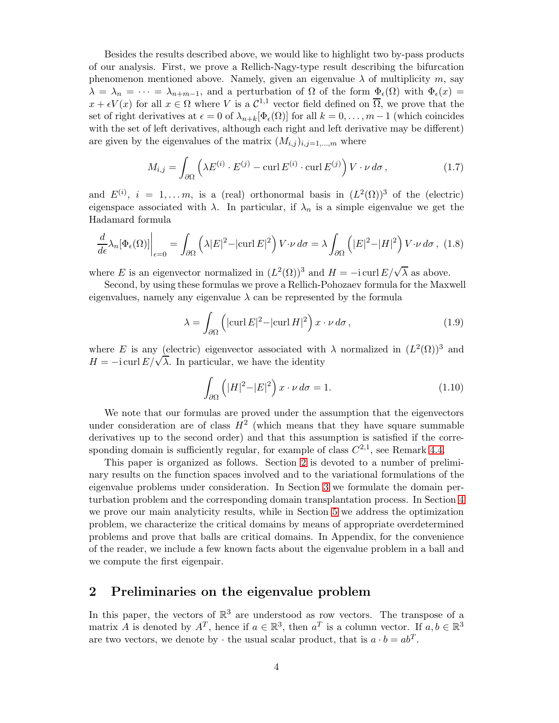Besides the results described above, we would like to highlight two by-pass products of our analysis. First, we prove a Rellich-Nagy-type result describing the bifurcation phenomenon mentioned above. Namely, given an eigenvalue  $\lambda$  of multiplicity m, say  $\lambda = \lambda_n = \cdots = \lambda_{n+m-1}$ , and a perturbation of  $\Omega$  of the form  $\Phi_{\epsilon}(\Omega)$  with  $\Phi_{\epsilon}(x)$  $x + \epsilon V(x)$  for all  $x \in \Omega$  where V is a  $\mathcal{C}^{1,1}$  vector field defined on  $\overline{\Omega}$ , we prove that the set of right derivatives at  $\epsilon = 0$  of  $\lambda_{n+k}[\Phi_{\epsilon}(\Omega)]$  for all  $k = 0, \ldots, m-1$  (which coincides with the set of left derivatives, although each right and left derivative may be different) are given by the eigenvalues of the matrix  $(M_{i,j})_{i,j=1,\dots,m}$  where

$$
M_{i,j} = \int_{\partial\Omega} \left( \lambda E^{(i)} \cdot E^{(j)} - \operatorname{curl} E^{(i)} \cdot \operatorname{curl} E^{(j)} \right) V \cdot \nu \, d\sigma , \qquad (1.7)
$$

and  $E^{(i)}$ ,  $i = 1,..., m$ , is a (real) orthonormal basis in  $(L^2(\Omega))^3$  of the (electric) eigenspace associated with  $\lambda$ . In particular, if  $\lambda_n$  is a simple eigenvalue we get the Hadamard formula

<span id="page-3-0"></span>
$$
\frac{d}{d\epsilon}\lambda_n[\Phi_\epsilon(\Omega)]\bigg|_{\epsilon=0} = \int_{\partial\Omega} \left(\lambda |E|^2 - |\text{curl }E|^2\right) V \cdot \nu \, d\sigma = \lambda \int_{\partial\Omega} \left(|E|^2 - |H|^2\right) V \cdot \nu \, d\sigma \,, \tag{1.8}
$$

where E is an eigenvector normalized in  $(L^2(\Omega))^3$  and  $H = -i \operatorname{curl} E/\sqrt{\lambda}$  as above.

Second, by using these formulas we prove a Rellich-Pohozaev formula for the Maxwell eigenvalues, namely any eigenvalue  $\lambda$  can be represented by the formula

$$
\lambda = \int_{\partial \Omega} \left( |\operatorname{curl} E|^2 - |\operatorname{curl} H|^2 \right) x \cdot \nu \, d\sigma \,, \tag{1.9}
$$

where E is any (electric) eigenvector associated with  $\lambda$  normalized in  $(L^2(\Omega))^3$  and  $H = -i \text{ curl } E/\sqrt{\lambda}$ . In particular, we have the identity

$$
\int_{\partial\Omega} \left( |H|^2 - |E|^2 \right) x \cdot \nu \, d\sigma = 1. \tag{1.10}
$$

We note that our formulas are proved under the assumption that the eigenvectors under consideration are of class  $H^2$  (which means that they have square summable derivatives up to the second order) and that this assumption is satisfied if the corresponding domain is sufficiently regular, for example of class  $C^{2,1}$ , see Remark [4.4.](#page-13-1)

This paper is organized as follows. Section [2](#page-3-1) is devoted to a number of preliminary results on the function spaces involved and to the variational formulations of the eigenvalue problems under consideration. In Section [3](#page-7-0) we formulate the domain perturbation problem and the corresponding domain transplantation process. In Section [4](#page-13-2) we prove our main analyticity results, while in Section [5](#page-20-0) we address the optimization problem, we characterize the critical domains by means of appropriate overdetermined problems and prove that balls are critical domains. In Appendix, for the convenience of the reader, we include a few known facts about the eigenvalue problem in a ball and we compute the first eigenpair.

# <span id="page-3-1"></span>2 Preliminaries on the eigenvalue problem

In this paper, the vectors of  $\mathbb{R}^3$  are understood as row vectors. The transpose of a matrix A is denoted by  $A^T$ , hence if  $a \in \mathbb{R}^3$ , then  $a^T$  is a column vector. If  $a, b \in \mathbb{R}^3$ are two vectors, we denote by  $\cdot$  the usual scalar product, that is  $a \cdot b = ab^T$ .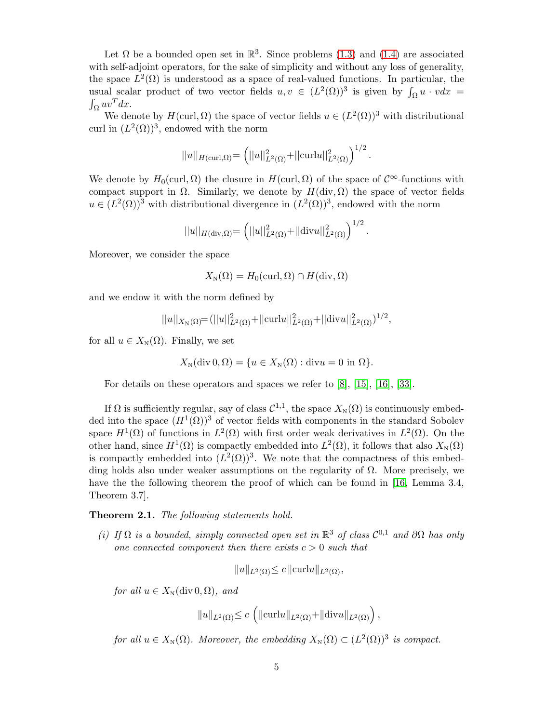Let  $\Omega$  be a bounded open set in  $\mathbb{R}^3$ . Since problems [\(1.3\)](#page-1-0) and [\(1.4\)](#page-1-1) are associated with self-adjoint operators, for the sake of simplicity and without any loss of generality, the space  $L^2(\Omega)$  is understood as a space of real-valued functions. In particular, the usual scalar product of two vector fields  $u, v \in (L^2(\Omega))^3$  is given by  $\int_{\Omega} u \cdot v dx = \int_{\Omega} uv^T dx$ .  $\int_{\Omega} uv^T dx.$ 

We denote by  $H(\text{curl}, \Omega)$  the space of vector fields  $u \in (L^2(\Omega))^3$  with distributional curl in  $(L^2(\Omega))^3$ , endowed with the norm

$$
||u||_{H(\text{curl},\Omega)} = (||u||_{L^2(\Omega)}^2 + ||\text{curl}u||_{L^2(\Omega)}^2)^{1/2}.
$$

We denote by  $H_0(\text{curl}, \Omega)$  the closure in  $H(\text{curl}, \Omega)$  of the space of  $\mathcal{C}^{\infty}$ -functions with compact support in  $\Omega$ . Similarly, we denote by  $H(\text{div}, \Omega)$  the space of vector fields  $u \in (L^2(\Omega))^3$  with distributional divergence in  $(L^2(\Omega))^3$ , endowed with the norm

$$
||u||_{H(\text{div},\Omega)} = \left(||u||_{L^2(\Omega)}^2 + ||\text{div}u||_{L^2(\Omega)}^2\right)^{1/2}.
$$

Moreover, we consider the space

$$
X_{\rm N}(\Omega)=H_0(\text{curl},\Omega)\cap H(\text{div},\Omega)
$$

and we endow it with the norm defined by

$$
||u||_{X_{\mathcal{N}}(\Omega)} = (||u||^2_{L^2(\Omega)} + ||\operatorname{curl} u||^2_{L^2(\Omega)} + ||\operatorname{div} u||^2_{L^2(\Omega)})^{1/2},
$$

for all  $u \in X_{\mathbb{N}}(\Omega)$ . Finally, we set

$$
X_{\mathcal{N}}(\text{div } 0, \Omega) = \{ u \in X_{\mathcal{N}}(\Omega) : \text{div} u = 0 \text{ in } \Omega \}.
$$

For details on these operators and spaces we refer to [\[8\]](#page-26-0), [\[15\]](#page-27-1), [\[16\]](#page-27-2), [\[33\]](#page-28-2).

If  $\Omega$  is sufficiently regular, say of class  $\mathcal{C}^{1,1}$ , the space  $X_N(\Omega)$  is continuously embedded into the space  $(H^1(\Omega))^3$  of vector fields with components in the standard Sobolev space  $H^1(\Omega)$  of functions in  $L^2(\Omega)$  with first order weak derivatives in  $L^2(\Omega)$ . On the other hand, since  $H^1(\Omega)$  is compactly embedded into  $L^2(\Omega)$ , it follows that also  $X_N(\Omega)$ is compactly embedded into  $(L^2(\Omega))^3$ . We note that the compactness of this embedding holds also under weaker assumptions on the regularity of  $\Omega$ . More precisely, we have the the following theorem the proof of which can be found in [\[16,](#page-27-2) Lemma 3.4, Theorem 3.7].

Theorem 2.1. The following statements hold.

(i) If  $\Omega$  is a bounded, simply connected open set in  $\mathbb{R}^3$  of class  $\mathcal{C}^{0,1}$  and  $\partial\Omega$  has only one connected component then there exists  $c > 0$  such that

$$
||u||_{L^2(\Omega)} \le c ||\operatorname{curl} u||_{L^2(\Omega)},
$$

for all  $u \in X_{\rm N}(\text{div } 0, \Omega)$ , and

$$
||u||_{L^2(\Omega)} \leq c \left( ||\operatorname{curl} u||_{L^2(\Omega)} + ||\operatorname{div} u||_{L^2(\Omega)} \right),
$$

for all  $u \in X_{\mathbb{N}}(\Omega)$ . Moreover, the embedding  $X_{\mathbb{N}}(\Omega) \subset (L^2(\Omega))^3$  is compact.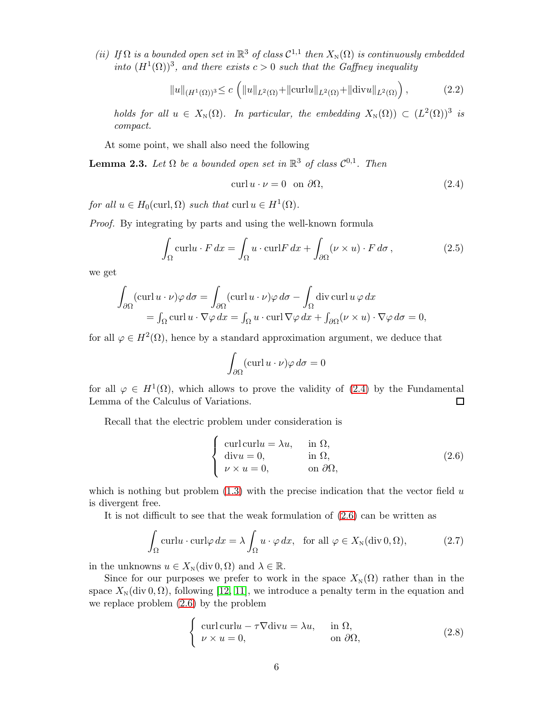(ii) If  $\Omega$  is a bounded open set in  $\mathbb{R}^3$  of class  $\mathcal{C}^{1,1}$  then  $X_{\mathbb{N}}(\Omega)$  is continuously embedded into  $(H^1(\Omega))^3$ , and there exists  $c > 0$  such that the Gaffney inequality

$$
||u||_{(H^1(\Omega))^3} \le c \left( ||u||_{L^2(\Omega)} + ||\text{curl}u||_{L^2(\Omega)} + ||\text{div}u||_{L^2(\Omega)} \right),
$$
 (2.2)

holds for all  $u \in X_{\mathbb{N}}(\Omega)$ . In particular, the embedding  $X_{\mathbb{N}}(\Omega) \subset (L^2(\Omega))^3$  is compact.

At some point, we shall also need the following

<span id="page-5-0"></span>**Lemma 2.3.** Let  $\Omega$  be a bounded open set in  $\mathbb{R}^3$  of class  $\mathcal{C}^{0,1}$ . Then

<span id="page-5-1"></span>
$$
\operatorname{curl} u \cdot \nu = 0 \quad \text{on } \partial \Omega,\tag{2.4}
$$

for all  $u \in H_0(\text{curl}, \Omega)$  such that  $\text{curl } u \in H^1(\Omega)$ .

Proof. By integrating by parts and using the well-known formula

$$
\int_{\Omega} \operatorname{curl} u \cdot F \, dx = \int_{\Omega} u \cdot \operatorname{curl} F \, dx + \int_{\partial \Omega} (\nu \times u) \cdot F \, d\sigma \,, \tag{2.5}
$$

we get

$$
\int_{\partial\Omega} (\operatorname{curl} u \cdot \nu) \varphi \, d\sigma = \int_{\partial\Omega} (\operatorname{curl} u \cdot \nu) \varphi \, d\sigma - \int_{\Omega} \operatorname{div} \operatorname{curl} u \varphi \, dx
$$
\n
$$
= \int_{\Omega} \operatorname{curl} u \cdot \nabla \varphi \, dx = \int_{\Omega} u \cdot \operatorname{curl} \nabla \varphi \, dx + \int_{\partial\Omega} (\nu \times u) \cdot \nabla \varphi \, d\sigma = 0,
$$

for all  $\varphi \in H^2(\Omega)$ , hence by a standard approximation argument, we deduce that

$$
\int_{\partial\Omega} (\operatorname{curl} u \cdot \nu) \varphi \, d\sigma = 0
$$

for all  $\varphi \in H^1(\Omega)$ , which allows to prove the validity of [\(2.4\)](#page-5-1) by the Fundamental Lemma of the Calculus of Variations.  $\Box$ 

Recall that the electric problem under consideration is

<span id="page-5-2"></span>
$$
\begin{cases}\n\text{curl curl } u = \lambda u, & \text{in } \Omega, \\
\text{div } u = 0, & \text{in } \Omega, \\
\nu \times u = 0, & \text{on } \partial\Omega,\n\end{cases}
$$
\n(2.6)

which is nothing but problem  $(1.3)$  with the precise indication that the vector field u is divergent free.

It is not difficult to see that the weak formulation of [\(2.6\)](#page-5-2) can be written as

<span id="page-5-4"></span>
$$
\int_{\Omega} \operatorname{curl} u \cdot \operatorname{curl} \varphi \, dx = \lambda \int_{\Omega} u \cdot \varphi \, dx, \text{ for all } \varphi \in X_{\mathcal{N}}(\operatorname{div} 0, \Omega), \tag{2.7}
$$

in the unknowns  $u \in X_N(\text{div } 0, \Omega)$  and  $\lambda \in \mathbb{R}$ .

Since for our purposes we prefer to work in the space  $X_N(\Omega)$  rather than in the space  $X_N(\text{div } 0, \Omega)$ , following [\[12,](#page-27-5) [11\]](#page-27-4), we introduce a penalty term in the equation and we replace problem [\(2.6\)](#page-5-2) by the problem

<span id="page-5-3"></span>
$$
\begin{cases}\n\text{curl curl } u - \tau \nabla \text{div } u = \lambda u, & \text{in } \Omega, \\
\nu \times u = 0, & \text{on } \partial \Omega,\n\end{cases}
$$
\n(2.8)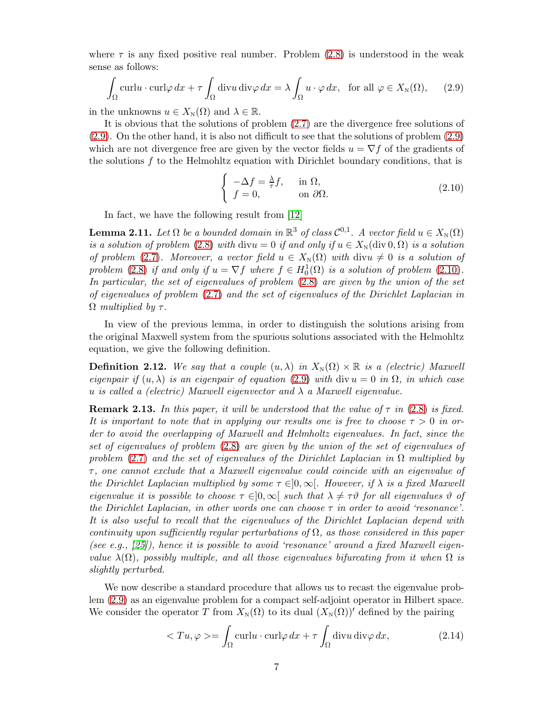where  $\tau$  is any fixed positive real number. Problem [\(2.8\)](#page-5-3) is understood in the weak sense as follows:

<span id="page-6-2"></span>
$$
\int_{\Omega} \operatorname{curl} u \cdot \operatorname{curl} \varphi \, dx + \tau \int_{\Omega} \operatorname{div} u \operatorname{div} \varphi \, dx = \lambda \int_{\Omega} u \cdot \varphi \, dx, \text{ for all } \varphi \in X_{\mathcal{N}}(\Omega), \qquad (2.9)
$$

in the unknowns  $u \in X_{\mathbb{N}}(\Omega)$  and  $\lambda \in \mathbb{R}$ .

It is obvious that the solutions of problem [\(2.7\)](#page-5-4) are the divergence free solutions of [\(2.9\)](#page-6-2). On the other hand, it is also not difficult to see that the solutions of problem [\(2.9\)](#page-6-2) which are not divergence free are given by the vector fields  $u = \nabla f$  of the gradients of the solutions f to the Helmohltz equation with Dirichlet boundary conditions, that is

<span id="page-6-3"></span>
$$
\begin{cases}\n-\Delta f = \frac{\lambda}{\tau} f, & \text{in } \Omega, \\
f = 0, & \text{on } \partial \Omega.\n\end{cases}
$$
\n(2.10)

In fact, we have the following result from [\[12\]](#page-27-5)

<span id="page-6-0"></span>**Lemma 2.11.** Let  $\Omega$  be a bounded domain in  $\mathbb{R}^3$  of class  $\mathcal{C}^{0,1}$ . A vector field  $u \in X_{\mathbb{N}}(\Omega)$ is a solution of problem [\(2.8\)](#page-5-3) with divu = 0 if and only if  $u \in X_{\text{N}}(\text{div } 0, \Omega)$  is a solution of problem [\(2.7\)](#page-5-4). Moreover, a vector field  $u \in X_{\text{N}}(\Omega)$  with divu  $\neq 0$  is a solution of problem [\(2.8\)](#page-5-3) if and only if  $u = \nabla f$  where  $f \in H_0^1(\Omega)$  is a solution of problem [\(2.10\)](#page-6-3). In particular, the set of eigenvalues of problem [\(2.8\)](#page-5-3) are given by the union of the set of eigenvalues of problem [\(2.7\)](#page-5-4) and the set of eigenvalues of the Dirichlet Laplacian in  $\Omega$  multiplied by  $\tau$ .

In view of the previous lemma, in order to distinguish the solutions arising from the original Maxwell system from the spurious solutions associated with the Helmohltz equation, we give the following definition.

**Definition 2.12.** We say that a couple  $(u, \lambda)$  in  $X_N(\Omega) \times \mathbb{R}$  is a (electric) Maxwell eigenpair if  $(u, \lambda)$  is an eigenpair of equation [\(2.9\)](#page-6-2) with div  $u = 0$  in  $\Omega$ , in which case u is called a (electric) Maxwell eigenvector and  $\lambda$  a Maxwell eigenvalue.

<span id="page-6-1"></span>**Remark 2.13.** In this paper, it will be understood that the value of  $\tau$  in [\(2.8\)](#page-5-3) is fixed. It is important to note that in applying our results one is free to choose  $\tau > 0$  in order to avoid the overlapping of Maxwell and Helmholtz eigenvalues. In fact, since the set of eigenvalues of problem [\(2.8\)](#page-5-3) are given by the union of the set of eigenvalues of problem [\(2.7\)](#page-5-4) and the set of eigenvalues of the Dirichlet Laplacian in  $\Omega$  multiplied by  $\tau$ , one cannot exclude that a Maxwell eigenvalue could coincide with an eigenvalue of the Dirichlet Laplacian multiplied by some  $\tau \in ]0,\infty[$ . However, if  $\lambda$  is a fixed Maxwell eigenvalue it is possible to choose  $\tau \in ]0,\infty[$  such that  $\lambda \neq \tau \vartheta$  for all eigenvalues  $\vartheta$  of the Dirichlet Laplacian, in other words one can choose  $\tau$  in order to avoid 'resonance'. It is also useful to recall that the eigenvalues of the Dirichlet Laplacian depend with continuity upon sufficiently regular perturbations of  $\Omega$ , as those considered in this paper (see e.g.,  $(25)$ ), hence it is possible to avoid 'resonance' around a fixed Maxwell eigenvalue  $\lambda(\Omega)$ , possibly multiple, and all those eigenvalues bifurcating from it when  $\Omega$  is slightly perturbed.

We now describe a standard procedure that allows us to recast the eigenvalue problem [\(2.9\)](#page-6-2) as an eigenvalue problem for a compact self-adjoint operator in Hilbert space. We consider the operator T from  $X_N(\Omega)$  to its dual  $(X_N(\Omega))'$  defined by the pairing

$$
\langle Tu, \varphi \rangle = \int_{\Omega} \operatorname{curl} u \cdot \operatorname{curl} \varphi \, dx + \tau \int_{\Omega} \operatorname{div} u \operatorname{div} \varphi \, dx,\tag{2.14}
$$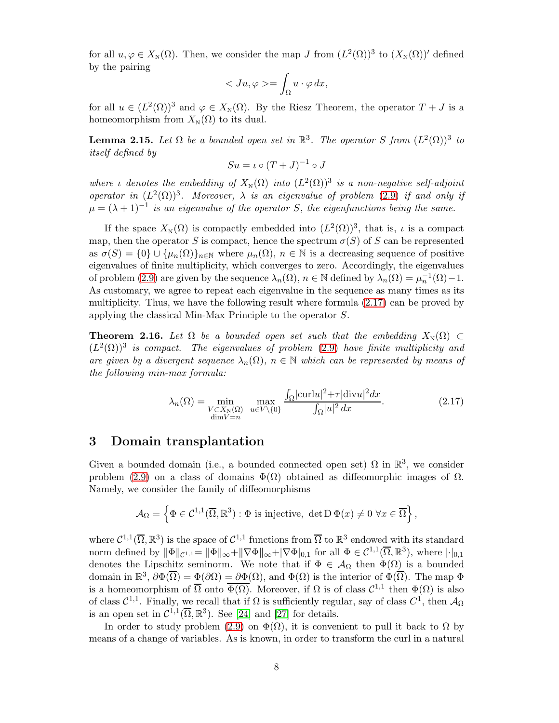for all  $u, \varphi \in X_{\mathbb{N}}(\Omega)$ . Then, we consider the map J from  $(L^2(\Omega))^3$  to  $(X_{\mathbb{N}}(\Omega))'$  defined by the pairing

$$
\langle Ju, \varphi \rangle = \int_{\Omega} u \cdot \varphi \, dx,
$$

for all  $u \in (L^2(\Omega))^3$  and  $\varphi \in X_{\mathbb{N}}(\Omega)$ . By the Riesz Theorem, the operator  $T + J$  is a homeomorphism from  $X_N(\Omega)$  to its dual.

**Lemma 2.15.** Let  $\Omega$  be a bounded open set in  $\mathbb{R}^3$ . The operator S from  $(L^2(\Omega))^3$  to itself defined by

$$
Su = \iota \circ (T + J)^{-1} \circ J
$$

where  $\iota$  denotes the embedding of  $X_{\mathcal{N}}(\Omega)$  into  $(L^2(\Omega))^3$  is a non-negative self-adjoint operator in  $(L^2(\Omega))^3$ . Moreover,  $\lambda$  is an eigenvalue of problem [\(2.9\)](#page-6-2) if and only if  $\mu = (\lambda + 1)^{-1}$  is an eigenvalue of the operator S, the eigenfunctions being the same.

If the space  $X_{\text{N}}(\Omega)$  is compactly embedded into  $(L^2(\Omega))^3$ , that is,  $\iota$  is a compact map, then the operator S is compact, hence the spectrum  $\sigma(S)$  of S can be represented as  $\sigma(S) = \{0\} \cup {\{\mu_n(\Omega)\}}_{n \in \mathbb{N}}$  where  $\mu_n(\Omega)$ ,  $n \in \mathbb{N}$  is a decreasing sequence of positive eigenvalues of finite multiplicity, which converges to zero. Accordingly, the eigenvalues of problem [\(2.9\)](#page-6-2) are given by the sequence  $\lambda_n(\Omega)$ ,  $n \in \mathbb{N}$  defined by  $\lambda_n(\Omega) = \mu_n^{-1}(\Omega) - 1$ . As customary, we agree to repeat each eigenvalue in the sequence as many times as its multiplicity. Thus, we have the following result where formula [\(2.17\)](#page-7-1) can be proved by applying the classical Min-Max Principle to the operator S.

**Theorem 2.16.** Let  $\Omega$  be a bounded open set such that the embedding  $X_N(\Omega) \subset$  $(L^2(\Omega))^3$  is compact. The eigenvalues of problem [\(2.9\)](#page-6-2) have finite multiplicity and are given by a divergent sequence  $\lambda_n(\Omega)$ ,  $n \in \mathbb{N}$  which can be represented by means of the following min-max formula:

<span id="page-7-1"></span>
$$
\lambda_n(\Omega) = \min_{\substack{V \subset X_N(\Omega) \\ \dim V = n}} \max_{u \in V \setminus \{0\}} \frac{\int_{\Omega} |\text{curl} u|^2 + \tau |\text{div} u|^2 dx}{\int_{\Omega} |u|^2 dx}.
$$
\n(2.17)

#### <span id="page-7-0"></span>3 Domain transplantation

Given a bounded domain (i.e., a bounded connected open set)  $\Omega$  in  $\mathbb{R}^3$ , we consider problem [\(2.9\)](#page-6-2) on a class of domains  $\Phi(\Omega)$  obtained as diffeomorphic images of  $\Omega$ . Namely, we consider the family of diffeomorphisms

$$
\mathcal{A}_{\Omega} = \left\{ \Phi \in \mathcal{C}^{1,1}(\overline{\Omega}, \mathbb{R}^3) : \Phi \text{ is injective, } \det D \Phi(x) \neq 0 \,\,\forall x \in \overline{\Omega} \right\},
$$

where  $C^{1,1}(\overline{\Omega}, \mathbb{R}^3)$  is the space of  $C^{1,1}$  functions from  $\overline{\Omega}$  to  $\mathbb{R}^3$  endowed with its standard norm defined by  $\|\Phi\|_{\mathcal{C}^{1,1}} = \|\Phi\|_{\infty} + \|\nabla\Phi\|_{\infty} + |\nabla\Phi|_{0,1}$  for all  $\Phi \in \mathcal{C}^{1,1}(\overline{\Omega}, \mathbb{R}^3)$ , where  $|\cdot|_{0,1}$ denotes the Lipschitz seminorm. We note that if  $\Phi \in \mathcal{A}_{\Omega}$  then  $\Phi(\Omega)$  is a bounded domain in  $\mathbb{R}^3$ ,  $\partial \Phi(\overline{\Omega}) = \Phi(\partial \Omega) = \partial \Phi(\Omega)$ , and  $\Phi(\Omega)$  is the interior of  $\Phi(\overline{\Omega})$ . The map  $\Phi$ is a homeomorphism of  $\overline{\Omega}$  onto  $\overline{\Phi(\Omega)}$ . Moreover, if  $\Omega$  is of class  $\mathcal{C}^{1,1}$  then  $\Phi(\Omega)$  is also of class  $C^{1,1}$ . Finally, we recall that if  $\Omega$  is sufficiently regular, say of class  $C^1$ , then  $\mathcal{A}_{\Omega}$ is an open set in  $\mathcal{C}^{1,1}(\overline{\Omega}, \mathbb{R}^3)$ . See [\[24\]](#page-27-13) and [\[27\]](#page-28-8) for details.

In order to study problem [\(2.9\)](#page-6-2) on  $\Phi(\Omega)$ , it is convenient to pull it back to  $\Omega$  by means of a change of variables. As is known, in order to transform the curl in a natural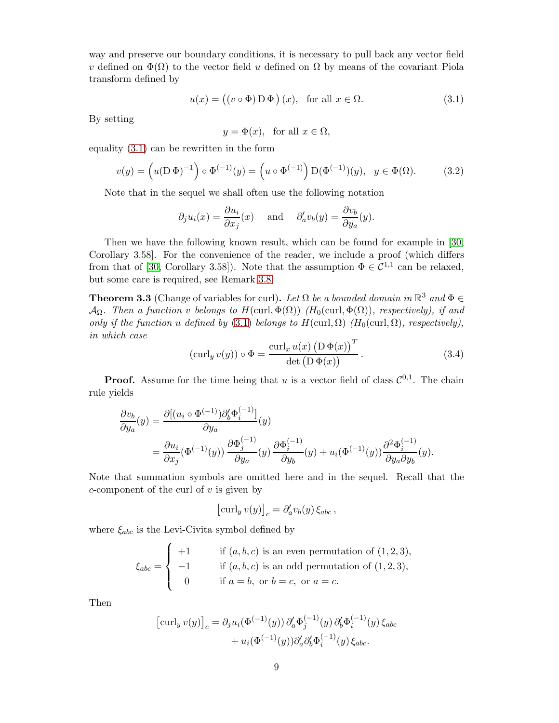way and preserve our boundary conditions, it is necessary to pull back any vector field v defined on  $\Phi(\Omega)$  to the vector field u defined on  $\Omega$  by means of the covariant Piola transform defined by

<span id="page-8-0"></span>
$$
u(x) = ((v \circ \Phi) D \Phi) (x), \text{ for all } x \in \Omega.
$$
 (3.1)

By setting

$$
y = \Phi(x), \text{ for all } x \in \Omega,
$$

equality [\(3.1\)](#page-8-0) can be rewritten in the form

$$
v(y) = \left(u(\mathbf{D}\,\Phi)^{-1}\right)\circ\Phi^{(-1)}(y) = \left(u\circ\Phi^{(-1)}\right)\mathbf{D}(\Phi^{(-1)})(y), \quad y \in \Phi(\Omega). \tag{3.2}
$$

Note that in the sequel we shall often use the following notation

$$
\partial_j u_i(x) = \frac{\partial u_i}{\partial x_j}(x)
$$
 and  $\partial'_a v_b(y) = \frac{\partial v_b}{\partial y_a}(y)$ .

Then we have the following known result, which can be found for example in [\[30,](#page-28-0) Corollary 3.58]. For the convenience of the reader, we include a proof (which differs from that of [\[30,](#page-28-0) Corollary 3.58]). Note that the assumption  $\Phi \in C^{1,1}$  can be relaxed, but some care is required, see Remark [3.8.](#page-10-0)

<span id="page-8-2"></span>**Theorem 3.3** (Change of variables for curl). Let  $\Omega$  be a bounded domain in  $\mathbb{R}^3$  and  $\Phi \in$  $\mathcal{A}_{\Omega}$ . Then a function v belongs to  $H(\text{curl}, \Phi(\Omega))$  (H<sub>0</sub>(curl,  $\Phi(\Omega)$ ), respectively), if and only if the function u defined by [\(3.1\)](#page-8-0) belongs to  $H(\text{curl}, \Omega)$  ( $H_0(\text{curl}, \Omega)$ , respectively), in which case  $\overline{f}$ 

<span id="page-8-1"></span>
$$
(\operatorname{curl}_y v(y)) \circ \Phi = \frac{\operatorname{curl}_x u(x) \left( \mathcal{D} \Phi(x) \right)^T}{\det \left( \mathcal{D} \Phi(x) \right)}.
$$
\n(3.4)

**Proof.** Assume for the time being that u is a vector field of class  $\mathcal{C}^{0,1}$ . The chain rule yields

$$
\frac{\partial v_b}{\partial y_a}(y) = \frac{\partial [(u_i \circ \Phi^{(-1)}) \partial'_b \Phi_i^{(-1)}]}{\partial y_a}(y)
$$
  
= 
$$
\frac{\partial u_i}{\partial x_j}(\Phi^{(-1)}(y)) \frac{\partial \Phi_j^{(-1)}}{\partial y_a}(y) \frac{\partial \Phi_i^{(-1)}}{\partial y_b}(y) + u_i(\Phi^{(-1)}(y)) \frac{\partial^2 \Phi_i^{(-1)}}{\partial y_a \partial y_b}(y).
$$

Note that summation symbols are omitted here and in the sequel. Recall that the  $c$ -component of the curl of  $v$  is given by

$$
\left[\operatorname{curl}_y v(y)\right]_c = \partial_a' v_b(y) \, \xi_{abc} \,,
$$

where  $\xi_{abc}$  is the Levi-Civita symbol defined by

$$
\xi_{abc} = \begin{cases}\n+1 & \text{if } (a, b, c) \text{ is an even permutation of } (1, 2, 3), \\
-1 & \text{if } (a, b, c) \text{ is an odd permutation of } (1, 2, 3), \\
0 & \text{if } a = b, \text{ or } b = c, \text{ or } a = c.\n\end{cases}
$$

Then

$$
\begin{aligned} \left[\operatorname{curl}_{y} v(y)\right]_{c} &= \partial_{j} u_{i}(\Phi^{(-1)}(y)) \partial_{a}^{\prime} \Phi_{j}^{(-1)}(y) \partial_{b}^{\prime} \Phi_{i}^{(-1)}(y) \,\xi_{abc} \\ &+ u_{i}(\Phi^{(-1)}(y)) \partial_{a}^{\prime} \partial_{b}^{\prime} \Phi_{i}^{(-1)}(y) \,\xi_{abc} .\end{aligned}
$$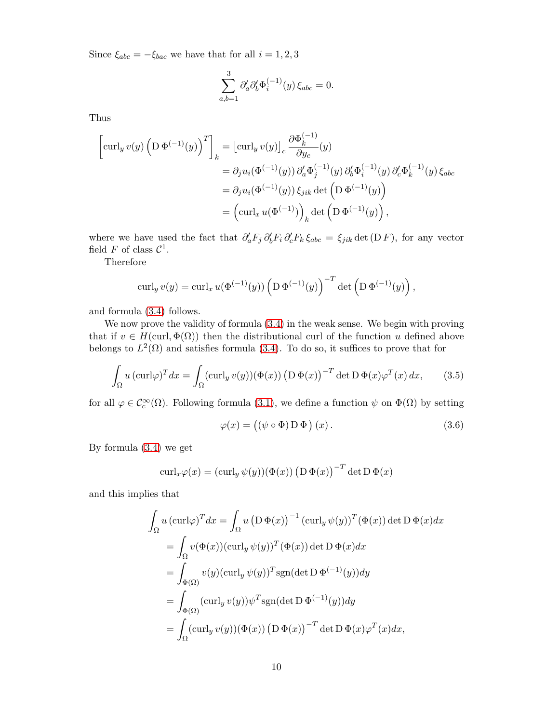Since  $\xi_{abc} = -\xi_{bac}$  we have that for all  $i = 1, 2, 3$ 

$$
\sum_{a,b=1}^3 \partial'_a \partial'_b \Phi_i^{(-1)}(y) \, \xi_{abc} = 0.
$$

Thus

$$
\begin{split}\n\left[\operatorname{curl}_{y} v(y) \left( \operatorname{D} \Phi^{(-1)}(y) \right)^{T} \right]_{k} &= \left[\operatorname{curl}_{y} v(y) \right]_{c} \frac{\partial \Phi_{k}^{(-1)}}{\partial y_{c}}(y) \\
&= \partial_{j} u_{i}(\Phi^{(-1)}(y)) \partial_{a}^{\prime} \Phi_{j}^{(-1)}(y) \partial_{b}^{\prime} \Phi_{i}^{(-1)}(y) \partial_{c}^{\prime} \Phi_{k}^{(-1)}(y) \xi_{abc} \\
&= \partial_{j} u_{i}(\Phi^{(-1)}(y)) \xi_{jik} \det \left( \operatorname{D} \Phi^{(-1)}(y) \right) \\
&= \left(\operatorname{curl}_{x} u(\Phi^{(-1)}) \right)_{k} \det \left( \operatorname{D} \Phi^{(-1)}(y) \right),\n\end{split}
$$

where we have used the fact that  $\partial'_a F_j \partial'_b F_i \partial'_c F_k \xi_{abc} = \xi_{jik} \det(D F)$ , for any vector field F of class  $\mathcal{C}^1$ .

Therefore

$$
\operatorname{curl}_y v(y) = \operatorname{curl}_x u(\Phi^{(-1)}(y)) \left( \operatorname{D} \Phi^{(-1)}(y) \right)^{-T} \det \left( \operatorname{D} \Phi^{(-1)}(y) \right),
$$

and formula [\(3.4\)](#page-8-1) follows.

We now prove the validity of formula [\(3.4\)](#page-8-1) in the weak sense. We begin with proving that if  $v \in H(\text{curl}, \Phi(\Omega))$  then the distributional curl of the function u defined above belongs to  $L^2(\Omega)$  and satisfies formula [\(3.4\)](#page-8-1). To do so, it suffices to prove that for

$$
\int_{\Omega} u \left( \operatorname{curl} \varphi \right)^{T} dx = \int_{\Omega} (\operatorname{curl}_{y} v(y)) (\Phi(x)) \left( \operatorname{D} \Phi(x) \right)^{-T} \det \operatorname{D} \Phi(x) \varphi^{T}(x) dx, \tag{3.5}
$$

for all  $\varphi \in C_c^{\infty}(\Omega)$ . Following formula [\(3.1\)](#page-8-0), we define a function  $\psi$  on  $\Phi(\Omega)$  by setting

<span id="page-9-0"></span>
$$
\varphi(x) = ((\psi \circ \Phi) D \Phi) (x).
$$
\n(3.6)

By formula [\(3.4\)](#page-8-1) we get

$$
\operatorname{curl}_x \varphi(x) = (\operatorname{curl}_y \psi(y))(\Phi(x)) (D \Phi(x))^{-T} \det D \Phi(x)
$$

and this implies that

$$
\int_{\Omega} u (\operatorname{curl} \varphi)^{T} dx = \int_{\Omega} u (D \Phi(x))^{-1} (\operatorname{curl}_{y} \psi(y))^{T} (\Phi(x)) \det D \Phi(x) dx
$$
  
\n
$$
= \int_{\Omega} v(\Phi(x)) (\operatorname{curl}_{y} \psi(y))^{T} (\Phi(x)) \det D \Phi(x) dx
$$
  
\n
$$
= \int_{\Phi(\Omega)} v(y) (\operatorname{curl}_{y} \psi(y))^{T} \operatorname{sgn}(\det D \Phi^{(-1)}(y)) dy
$$
  
\n
$$
= \int_{\Phi(\Omega)} (\operatorname{curl}_{y} v(y)) \psi^{T} \operatorname{sgn}(\det D \Phi^{(-1)}(y)) dy
$$
  
\n
$$
= \int_{\Omega} (\operatorname{curl}_{y} v(y)) (\Phi(x)) (D \Phi(x))^{-T} \det D \Phi(x) \varphi^{T}(x) dx,
$$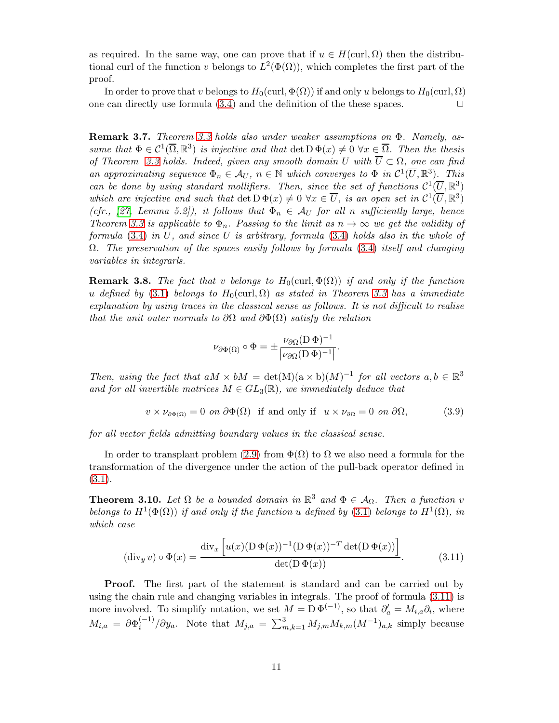as required. In the same way, one can prove that if  $u \in H(\text{curl}, \Omega)$  then the distributional curl of the function v belongs to  $L^2(\Phi(\Omega))$ , which completes the first part of the proof.

In order to prove that v belongs to  $H_0(\text{curl}, \Phi(\Omega))$  if and only u belongs to  $H_0(\text{curl}, \Omega)$ one can directly use formula  $(3.4)$  and the definition of the these spaces.  $\Box$ 

Remark 3.7. Theorem [3.3](#page-8-2) holds also under weaker assumptions on Φ. Namely, assume that  $\Phi \in C^1(\overline{\Omega}, \mathbb{R}^3)$  is injective and that  $\det D \Phi(x) \neq 0 \ \forall x \in \overline{\Omega}$ . Then the thesis of Theorem [3.3](#page-8-2) holds. Indeed, given any smooth domain U with  $\overline{U} \subset \Omega$ , one can find an approximating sequence  $\Phi_n \in \mathcal{A}_U$ ,  $n \in \mathbb{N}$  which converges to  $\Phi$  in  $\mathcal{C}^1(\overline{U}, \mathbb{R}^3)$ . This can be done by using standard mollifiers. Then, since the set of functions  $C^1(\overline{U}, \mathbb{R}^3)$ which are injective and such that  $\det D \Phi(x) \neq 0 \ \forall x \in \overline{U}$ , is an open set in  $\mathcal{C}^1(\overline{U}, \mathbb{R}^3)$ (cfr., [\[27,](#page-28-8) Lemma 5.2]), it follows that  $\Phi_n \in A_U$  for all n sufficiently large, hence Theorem [3.3](#page-8-2) is applicable to  $\Phi_n$ . Passing to the limit as  $n \to \infty$  we get the validity of formula [\(3.4\)](#page-8-1) in U, and since U is arbitrary, formula [\(3.4\)](#page-8-1) holds also in the whole of  $\Omega$ . The preservation of the spaces easily follows by formula [\(3.4\)](#page-8-1) itself and changing variables in integrarls.

<span id="page-10-0"></span>**Remark 3.8.** The fact that v belongs to  $H_0$ (curl,  $\Phi(\Omega)$ ) if and only if the function u defined by [\(3.1\)](#page-8-0) belongs to  $H_0(\text{curl}, \Omega)$  as stated in Theorem [3.3](#page-8-2) has a immediate explanation by using traces in the classical sense as follows. It is not difficult to realise that the unit outer normals to  $\partial\Omega$  and  $\partial\Phi(\Omega)$  satisfy the relation

$$
\nu_{\partial\Phi(\Omega)} \circ \Phi = \pm \frac{\nu_{\partial\Omega} (D \Phi)^{-1}}{|\nu_{\partial\Omega}(D \Phi)^{-1}|}.
$$

Then, using the fact that  $aM \times bM = \det(M)(a \times b)(M)^{-1}$  for all vectors  $a, b \in \mathbb{R}^3$ and for all invertible matrices  $M \in GL_3(\mathbb{R})$ , we immediately deduce that

$$
v \times \nu_{\partial \Phi(\Omega)} = 0 \text{ on } \partial \Phi(\Omega) \text{ if and only if } u \times \nu_{\partial \Omega} = 0 \text{ on } \partial \Omega,
$$
 (3.9)

for all vector fields admitting boundary values in the classical sense.

In order to transplant problem [\(2.9\)](#page-6-2) from  $\Phi(\Omega)$  to  $\Omega$  we also need a formula for the transformation of the divergence under the action of the pull-back operator defined in [\(3.1\)](#page-8-0).

**Theorem 3.10.** Let  $\Omega$  be a bounded domain in  $\mathbb{R}^3$  and  $\Phi \in \mathcal{A}_{\Omega}$ . Then a function v belongs to  $H^1(\Phi(\Omega))$  if and only if the function u defined by [\(3.1\)](#page-8-0) belongs to  $H^1(\Omega)$ , in which case

<span id="page-10-1"></span>
$$
(\text{div}_y v) \circ \Phi(x) = \frac{\text{div}_x \left[ u(x) (D \Phi(x))^{-1} (D \Phi(x))^{-T} \det(D \Phi(x)) \right]}{\det(D \Phi(x))}.
$$
 (3.11)

**Proof.** The first part of the statement is standard and can be carried out by using the chain rule and changing variables in integrals. The proof of formula [\(3.11\)](#page-10-1) is more involved. To simplify notation, we set  $M = D \Phi^{(-1)}$ , so that  $\partial'_{a} = M_{i,a} \partial_{i}$ , where  $M_{i,a}~=~\partial \Phi_i^{(-1)}$  $\sum_{i=1}^{(n-1)}$  / $\partial y_a$ . Note that  $M_{j,a} = \sum_{m,k=1}^{3} M_{j,m} M_{k,m} (M^{-1})_{a,k}$  simply because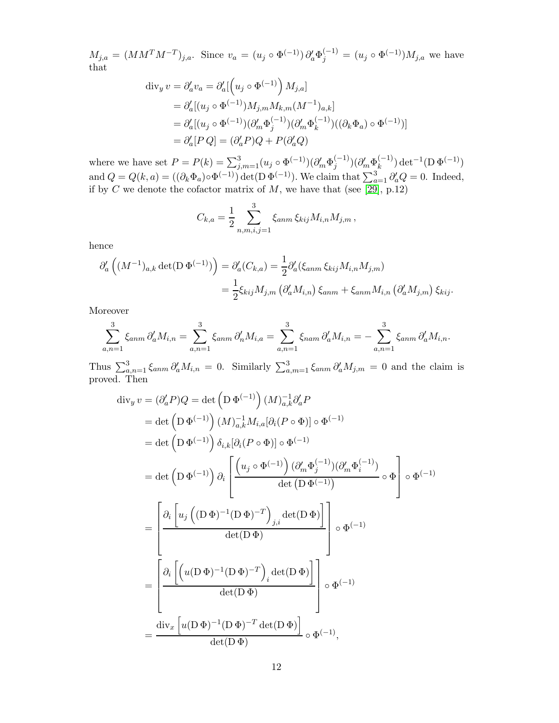$M_{j,a} = (MM^T M^{-T})_{j,a}.$  Since  $v_a = (u_j \circ \Phi^{(-1)}) \partial_a^j \Phi_j^{(-1)} = (u_j \circ \Phi^{(-1)}) M_{j,a}$  we have that

$$
\begin{aligned}\n\operatorname{div}_y v &= \partial'_a v_a = \partial'_a \left[ \left( u_j \circ \Phi^{(-1)} \right) M_{j,a} \right] \\
&= \partial'_a \left[ (u_j \circ \Phi^{(-1)}) M_{j,m} M_{k,m} (M^{-1})_{a,k} \right] \\
&= \partial'_a \left[ (u_j \circ \Phi^{(-1)}) (\partial'_m \Phi_j^{(-1)}) (\partial'_m \Phi_k^{(-1)}) ((\partial_k \Phi_a) \circ \Phi^{(-1)}) \right] \\
&= \partial'_a [P \, Q] = (\partial'_a P) Q + P(\partial'_a Q)\n\end{aligned}
$$

where we have set  $P = P(k) = \sum_{j,m=1}^{3} (u_j \circ \Phi^{(-1)}) (\partial'_m \Phi_j^{(-1)})$  $\big(\begin{smallmatrix} (-1)\j\end{smallmatrix}\big) (\partial'_m \Phi_k^{(-1)})$  $\det_k^{(-1)}) \det^{-1}(\mathrm{D}\,\Phi^{(-1)})$ and  $Q = Q(k, a) = ((\partial_k \Phi_a) \circ \Phi^{(-1)}) \det(D \Phi^{(-1)})$ . We claim that  $\sum_{a=1}^3 \partial_a Q = 0$ . Indeed, if by C we denote the cofactor matrix of  $M$ , we have that (see [\[29\]](#page-28-9), p.12)

$$
C_{k,a} = \frac{1}{2} \sum_{n,m,i,j=1}^{3} \xi_{anm} \, \xi_{kij} M_{i,n} M_{j,m} \,,
$$

hence

$$
\partial'_{a}\left((M^{-1})_{a,k}\det(\mathcal{D}\,\Phi^{(-1)})\right) = \partial'_{a}(C_{k,a}) = \frac{1}{2}\partial'_{a}(\xi_{anm}\,\xi_{kij}M_{i,n}M_{j,m})
$$

$$
= \frac{1}{2}\xi_{kij}M_{j,m}\left(\partial'_{a}M_{i,n}\right)\xi_{anm} + \xi_{anm}M_{i,n}\left(\partial'_{a}M_{j,m}\right)\xi_{kij}.
$$

Moreover

$$
\sum_{a,n=1}^{3} \xi_{anm} \, \partial_a' M_{i,n} = \sum_{a,n=1}^{3} \xi_{anm} \, \partial_n' M_{i,a} = \sum_{a,n=1}^{3} \xi_{nam} \, \partial_a' M_{i,n} = -\sum_{a,n=1}^{3} \xi_{anm} \, \partial_a' M_{i,n}.
$$

Thus  $\sum_{a,n=1}^{3} \xi_{anm} \partial'_{a} M_{i,n} = 0$ . Similarly  $\sum_{a,m=1}^{3} \xi_{anm} \partial'_{a} M_{j,m} = 0$  and the claim is proved. Then

$$
\begin{split}\n\text{div}_{y}v &= (\partial'_{a}P)Q = \det\left(\mathcal{D}\,\Phi^{(-1)}\right)(M)_{a,k}^{-1}\partial'_{a}P \\
&= \det\left(\mathcal{D}\,\Phi^{(-1)}\right)(M)_{a,k}^{-1}M_{i,a}[\partial_{i}(P\circ\Phi)] \circ\Phi^{(-1)} \\
&= \det\left(\mathcal{D}\,\Phi^{(-1)}\right)\delta_{i,k}[\partial_{i}(P\circ\Phi)] \circ\Phi^{(-1)} \\
&= \det\left(\mathcal{D}\,\Phi^{(-1)}\right)\partial_{i}\left[\frac{\left(u_{j}\circ\Phi^{(-1)}\right)(\partial'_{m}\Phi_{j}^{(-1)})(\partial'_{m}\Phi_{i}^{(-1)})}{\det\left(\mathcal{D}\,\Phi^{(-1)}\right)} \circ\Phi\right] \circ\Phi^{(-1)} \\
&= \left[\frac{\partial_{i}\left[u_{j}\left((\mathcal{D}\,\Phi)^{-1}(\mathcal{D}\,\Phi)^{-T}\right)_{j,i}\det(\mathcal{D}\,\Phi)\right]}{\det(\mathcal{D}\,\Phi)}\right] \circ\Phi^{(-1)} \\
&= \left[\frac{\partial_{i}\left[\left(u(\mathcal{D}\,\Phi)^{-1}(\mathcal{D}\,\Phi)^{-T}\right)_{i}\det(\mathcal{D}\,\Phi)\right]}{\det(\mathcal{D}\,\Phi)}\right] \circ\Phi^{(-1)} \\
&= \frac{\det\left(u(\mathcal{D}\,\Phi)^{-1}(\mathcal{D}\,\Phi)^{-T}\det(\mathcal{D}\,\Phi)\right)}{\det(\mathcal{D}\,\Phi)} \circ\Phi^{(-1)},\n\end{split}
$$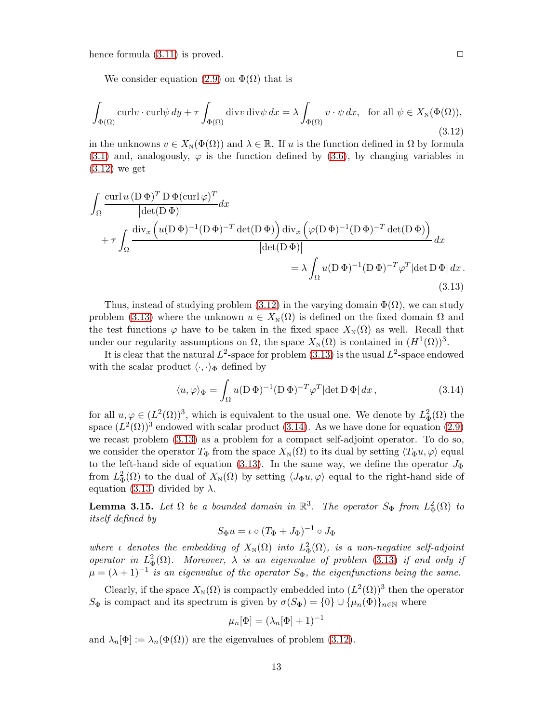hence formula  $(3.11)$  is proved.

We consider equation [\(2.9\)](#page-6-2) on  $\Phi(\Omega)$  that is

<span id="page-12-0"></span>
$$
\int_{\Phi(\Omega)} \operatorname{curl} v \cdot \operatorname{curl} \psi \, dy + \tau \int_{\Phi(\Omega)} \operatorname{div} v \operatorname{div} \psi \, dx = \lambda \int_{\Phi(\Omega)} v \cdot \psi \, dx, \text{ for all } \psi \in X_{\mathbb{N}}(\Phi(\Omega)),
$$
\n(3.12)

in the unknowns  $v \in X_N(\Phi(\Omega))$  and  $\lambda \in \mathbb{R}$ . If u is the function defined in  $\Omega$  by formula [\(3.1\)](#page-8-0) and, analogously,  $\varphi$  is the function defined by [\(3.6\)](#page-9-0), by changing variables in [\(3.12\)](#page-12-0) we get

$$
\int_{\Omega} \frac{\operatorname{curl} u \left( \mathbf{D} \Phi \right)^{T} \mathbf{D} \Phi(\operatorname{curl} \varphi)^{T}}{|\det(\mathbf{D} \Phi)|} dx \n+ \tau \int_{\Omega} \frac{\operatorname{div}_{x} \left( u(\mathbf{D} \Phi)^{-1} (\mathbf{D} \Phi)^{-T} \det(\mathbf{D} \Phi) \right) \operatorname{div}_{x} \left( \varphi(\mathbf{D} \Phi)^{-1} (\mathbf{D} \Phi)^{-T} \det(\mathbf{D} \Phi) \right)}{|\det(\mathbf{D} \Phi)|} dx \n= \lambda \int_{\Omega} u(\mathbf{D} \Phi)^{-1} (\mathbf{D} \Phi)^{-T} \varphi^{T} |\det \mathbf{D} \Phi| dx.
$$
\n(3.13)

Thus, instead of studying problem [\(3.12\)](#page-12-0) in the varying domain  $\Phi(\Omega)$ , we can study problem [\(3.13\)](#page-12-1) where the unknown  $u \in X_{\rm N}(\Omega)$  is defined on the fixed domain  $\Omega$  and the test functions  $\varphi$  have to be taken in the fixed space  $X_N(\Omega)$  as well. Recall that under our regularity assumptions on  $\Omega$ , the space  $X_N(\Omega)$  is contained in  $(H^1(\Omega))^3$ .

It is clear that the natural  $L^2$ -space for problem [\(3.13\)](#page-12-1) is the usual  $L^2$ -space endowed with the scalar product  $\langle \cdot, \cdot \rangle_{\Phi}$  defined by

<span id="page-12-2"></span><span id="page-12-1"></span>
$$
\langle u, \varphi \rangle_{\Phi} = \int_{\Omega} u(\mathbf{D} \, \Phi)^{-1} (\mathbf{D} \, \Phi)^{-T} \varphi^{T} |\det \mathbf{D} \, \Phi| \, dx \,, \tag{3.14}
$$

for all  $u, \varphi \in (L^2(\Omega))^3$ , which is equivalent to the usual one. We denote by  $L^2_{\Phi}(\Omega)$  the space  $(L^2(\Omega))^3$  endowed with scalar product [\(3.14\)](#page-12-2). As we have done for equation [\(2.9\)](#page-6-2) we recast problem [\(3.13\)](#page-12-1) as a problem for a compact self-adjoint operator. To do so, we consider the operator  $T_{\Phi}$  from the space  $X_{N}(\Omega)$  to its dual by setting  $\langle T_{\Phi}u, \varphi \rangle$  equal to the left-hand side of equation [\(3.13\)](#page-12-1). In the same way, we define the operator  $J_{\Phi}$ from  $L^2_{\Phi}(\Omega)$  to the dual of  $X_{\text{N}}(\Omega)$  by setting  $\langle J_{\Phi}u, \varphi \rangle$  equal to the right-hand side of equation [\(3.13\)](#page-12-1) divided by  $\lambda$ .

**Lemma 3.15.** Let  $\Omega$  be a bounded domain in  $\mathbb{R}^3$ . The operator  $S_{\Phi}$  from  $L^2_{\Phi}(\Omega)$  to itself defined by

$$
S_{\Phi}u = \iota \circ (T_{\Phi} + J_{\Phi})^{-1} \circ J_{\Phi}
$$

where *ι* denotes the embedding of  $X_N(\Omega)$  into  $L^2_{\Phi}(\Omega)$ , is a non-negative self-adjoint operator in  $L^2_{\Phi}(\Omega)$ . Moreover,  $\lambda$  is an eigenvalue of problem [\(3.13\)](#page-12-1) if and only if  $\mu = (\lambda + 1)^{-1}$  is an eigenvalue of the operator  $S_{\Phi}$ , the eigenfunctions being the same.

Clearly, if the space  $X_{\text{N}}(\Omega)$  is compactly embedded into  $(L^2(\Omega))^3$  then the operator  $S_{\Phi}$  is compact and its spectrum is given by  $\sigma(S_{\Phi}) = \{0\} \cup \{\mu_n(\Phi)\}_{n \in \mathbb{N}}$  where

$$
\mu_n[\Phi] = (\lambda_n[\Phi] + 1)^{-1}
$$

and  $\lambda_n[\Phi] := \lambda_n(\Phi(\Omega))$  are the eigenvalues of problem [\(3.12\)](#page-12-0).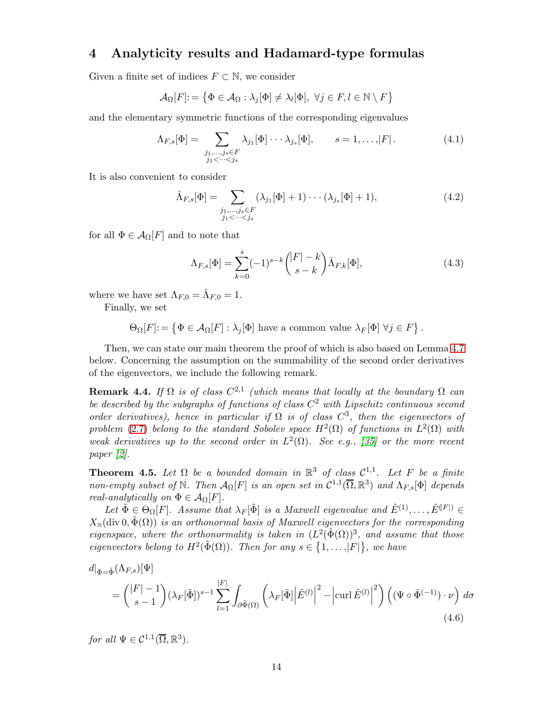### <span id="page-13-2"></span>4 Analyticity results and Hadamard-type formulas

Given a finite set of indices  $F \subset \mathbb{N}$ , we consider

$$
\mathcal{A}_{\Omega}[F] := \left\{ \Phi \in \mathcal{A}_{\Omega} : \lambda_j[\Phi] \neq \lambda_l[\Phi], \ \forall j \in F, l \in \mathbb{N} \setminus F \right\}
$$

and the elementary symmetric functions of the corresponding eigenvalues

$$
\Lambda_{F,s}[\Phi] = \sum_{\substack{j_1,\ldots,j_s \in F \\ j_1 < \cdots < j_s}} \lambda_{j_1}[\Phi] \cdots \lambda_{j_s}[\Phi], \qquad s = 1,\ldots,|F|.
$$
\n(4.1)

It is also convenient to consider

$$
\hat{\Lambda}_{F,s}[\Phi] = \sum_{\substack{j_1,\ldots,j_s \in F \\ j_1 < \cdots < j_s}} (\lambda_{j_1}[\Phi] + 1) \cdots (\lambda_{j_s}[\Phi] + 1),\tag{4.2}
$$

for all  $\Phi \in \mathcal{A}_{\Omega}[F]$  and to note that

<span id="page-13-3"></span>
$$
\Lambda_{F,s}[\Phi] = \sum_{k=0}^{s} (-1)^{s-k} \binom{|F|-k}{s-k} \hat{\Lambda}_{F,k}[\Phi],\tag{4.3}
$$

where we have set  $\Lambda_{F,0} = \hat{\Lambda}_{F,0} = 1$ .

Finally, we set

$$
\Theta_{\Omega}[F] := \left\{ \Phi \in \mathcal{A}_{\Omega}[F] : \lambda_j[\Phi] \text{ have a common value } \lambda_F[\Phi] \ \forall j \in F \right\}.
$$

Then, we can state our main theorem the proof of which is also based on Lemma [4.7](#page-15-0) below. Concerning the assumption on the summability of the second order derivatives of the eigenvectors, we include the following remark.

<span id="page-13-1"></span>**Remark 4.4.** If  $\Omega$  is of class  $C^{2,1}$  (which means that locally at the boundary  $\Omega$  can be described by the subgraphs of functions of class  $C^2$  with Lipschitz continuous second order derivatives), hence in particular if  $\Omega$  is of class  $C^3$ , then the eigenvectors of problem [\(2.7\)](#page-5-4) belong to the standard Sobolev space  $H^2(\Omega)$  of functions in  $L^2(\Omega)$  with weak derivatives up to the second order in  $L^2(\Omega)$ . See e.g., [\[35\]](#page-28-10) or the more recent paper [\[2\]](#page-26-6).

<span id="page-13-0"></span>**Theorem 4.5.** Let  $\Omega$  be a bounded domain in  $\mathbb{R}^3$  of class  $\mathcal{C}^{1,1}$ . Let F be a finite non-empty subset of  $\mathbb N$ . Then  $\mathcal{A}_{\Omega}[F]$  is an open set in  $\mathcal{C}^{1,1}(\overline{\Omega}, \mathbb R^3)$  and  $\Lambda_{F,s}[\Phi]$  depends real-analytically on  $\Phi \in \mathcal{A}_{\Omega}[F]$ .

Let  $\tilde{\Phi} \in \Theta_{\Omega}[F]$ . Assume that  $\lambda_F[\tilde{\Phi}]$  is a Maxwell eigenvalue and  $\tilde{E}^{(1)}, \ldots, \tilde{E}^{(F)} \in$  $X_{\text{N}}(\text{div } 0, \tilde{\Phi}(\Omega))$  is an orthonormal basis of Maxwell eigenvectors for the corresponding eigenspace, where the orthonormality is taken in  $(L^2(\tilde{\Phi}(\Omega))^3$ , and assume that those eigenvectors belong to  $H^2(\tilde{\Phi}(\Omega))$ . Then for any  $s \in \{1, \ldots, |F|\}$ , we have

<span id="page-13-4"></span>
$$
d|_{\Phi=\tilde{\Phi}}(\Lambda_{F,s})[\Psi]
$$
  
=  $\binom{|F|-1}{s-1} (\lambda_F[\tilde{\Phi}])^{s-1} \sum_{l=1}^{|F|} \int_{\partial \tilde{\Phi}(\Omega)} \left( \lambda_F[\tilde{\Phi}] \left| \tilde{E}^{(l)} \right|^2 - \left| \operatorname{curl} \tilde{E}^{(l)} \right|^2 \right) \left( (\Psi \circ \tilde{\Phi}^{(-1)}) \cdot \nu \right) d\sigma$   
(4.6)

for all  $\Psi \in \mathcal{C}^{1,1}(\overline{\Omega}, \mathbb{R}^3)$ .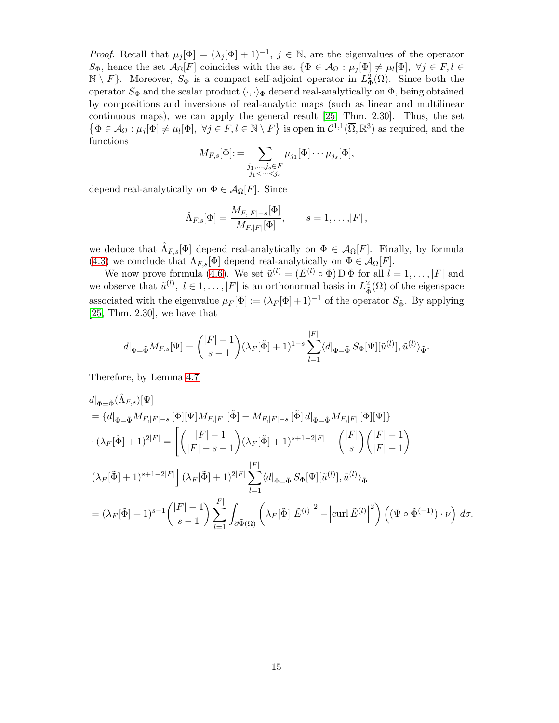*Proof.* Recall that  $\mu_j[\Phi] = (\lambda_j[\Phi] + 1)^{-1}, j \in \mathbb{N}$ , are the eigenvalues of the operator  $S_{\Phi}$ , hence the set  $\mathcal{A}_{\Omega}[F]$  coincides with the set  $\{\Phi \in \mathcal{A}_{\Omega} : \mu_j[\Phi] \neq \mu_l[\Phi], \ \forall j \in F, l \in$  $\mathbb{N} \setminus F$ . Moreover,  $S_{\Phi}$  is a compact self-adjoint operator in  $L^2_{\Phi}(\Omega)$ . Since both the operator  $S_{\Phi}$  and the scalar product  $\langle \cdot, \cdot \rangle_{\Phi}$  depend real-analytically on  $\Phi$ , being obtained by compositions and inversions of real-analytic maps (such as linear and multilinear continuous maps), we can apply the general result [\[25,](#page-28-7) Thm. 2.30]. Thus, the set  $\{\Phi \in \mathcal{A}_{\Omega} : \mu_j[\Phi] \neq \mu_l[\Phi], \ \forall j \in F, l \in \mathbb{N} \setminus F\}$  is open in  $\mathcal{C}^{1,1}(\overline{\Omega}, \mathbb{R}^3)$  as required, and the functions

$$
M_{F,s}[\Phi] := \sum_{\substack{j_1,\ldots,j_s \in F \\ j_1 < \cdots < j_s}} \mu_{j_1}[\Phi] \cdots \mu_{j_s}[\Phi],
$$

depend real-analytically on  $\Phi \in \mathcal{A}_{\Omega}[F]$ . Since

$$
\hat{\Lambda}_{F,s}[\Phi] = \frac{M_{F,|F|-s}[\Phi]}{M_{F,|F|}[\Phi]}, \qquad s = 1,\ldots,|F|,
$$

we deduce that  $\hat{\Lambda}_{F,s}[\Phi]$  depend real-analytically on  $\Phi \in \mathcal{A}_{\Omega}[F]$ . Finally, by formula [\(4.3\)](#page-13-3) we conclude that  $\Lambda_{F,s}[\Phi]$  depend real-analytically on  $\Phi \in \mathcal{A}_{\Omega}[F]$ .

We now prove formula [\(4.6\)](#page-13-4). We set  $\tilde{u}^{(l)} = (\tilde{E}^{(l)} \circ \tilde{\Phi}) \mathcal{D} \tilde{\Phi}$  for all  $l = 1, \ldots, |F|$  and we observe that  $\tilde{u}^{(l)}$ ,  $l \in 1, \ldots, |F|$  is an orthonormal basis in  $L^2_{\tilde{\Phi}}(\Omega)$  of the eigenspace associated with the eigenvalue  $\mu_F[\tilde{\Phi}] := (\lambda_F[\tilde{\Phi}] + 1)^{-1}$  of the operator  $S_{\tilde{\Phi}}$ . By applying [\[25,](#page-28-7) Thm. 2.30], we have that

$$
d|_{\Phi=\tilde{\Phi}}M_{F,s}[\Psi] = { |F|-1 \choose s-1} (\lambda_F[\tilde{\Phi}] + 1)^{1-s} \sum_{l=1}^{|F|} \langle d|_{\Phi=\tilde{\Phi}} S_{\Phi}[\Psi][\tilde{u}^{(l)}], \tilde{u}^{(l)} \rangle_{\tilde{\Phi}}.
$$

Therefore, by Lemma [4.7](#page-15-0)

$$
d|_{\Phi=\tilde{\Phi}}(\hat{\Lambda}_{F,s})[\Psi]
$$
  
\n
$$
= \{d|_{\Phi=\tilde{\Phi}}M_{F,|F|-s}[\Phi][\Psi]M_{F,|F|}[\tilde{\Phi}] - M_{F,|F|-s}[\tilde{\Phi}]d|_{\Phi=\tilde{\Phi}}M_{F,|F|}[\Phi][\Psi]\}
$$
  
\n
$$
\cdot (\lambda_F[\tilde{\Phi}] + 1)^{2|F|} = \left[ \binom{|F|-1}{|F|-s-1} (\lambda_F[\tilde{\Phi}] + 1)^{s+1-2|F|} - \binom{|F|}{s} \binom{|F|-1}{|F|-1} \right]
$$
  
\n
$$
(\lambda_F[\tilde{\Phi}] + 1)^{s+1-2|F|} \left[ (\lambda_F[\tilde{\Phi}] + 1)^{2|F|} \sum_{l=1}^{|F|} \langle d|_{\Phi=\tilde{\Phi}} S_{\Phi}[\Psi][\tilde{u}^{(l)}], \tilde{u}^{(l)} \rangle_{\tilde{\Phi}}
$$
  
\n
$$
= (\lambda_F[\tilde{\Phi}] + 1)^{s-1} \binom{|F|-1}{s-1} \sum_{l=1}^{|F|} \int_{\partial \tilde{\Phi}(\Omega)} \left( \lambda_F[\tilde{\Phi}] \left| \tilde{E}^{(l)} \right|^2 - \left| \operatorname{curl} \tilde{E}^{(l)} \right|^2 \right) \left( (\Psi \circ \tilde{\Phi}^{(-1)}) \cdot \nu \right) d\sigma.
$$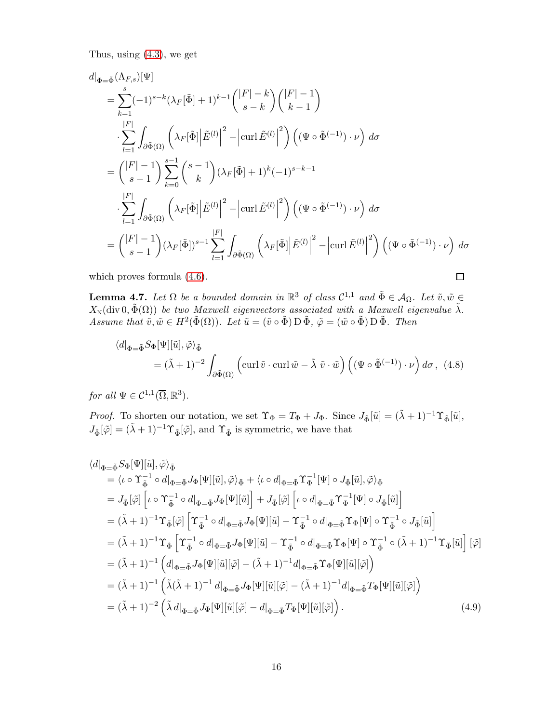Thus, using [\(4.3\)](#page-13-3), we get

$$
d|_{\Phi=\tilde{\Phi}}(\Lambda_{F,s})[\Psi]
$$
\n
$$
= \sum_{k=1}^{s} (-1)^{s-k} (\lambda_{F}[\tilde{\Phi}] + 1)^{k-1} { |F| - k \choose s-k} { |F| - 1 \choose k-1}
$$
\n
$$
\cdot \sum_{l=1}^{|F|} \int_{\partial \tilde{\Phi}(\Omega)} \left( \lambda_{F}[\tilde{\Phi}] \Big| \tilde{E}^{(l)} \Big|^{2} - \left| \operatorname{curl} \tilde{E}^{(l)} \Big|^{2} \right) \left( (\Psi \circ \tilde{\Phi}^{(-1)}) \cdot \nu \right) d\sigma
$$
\n
$$
= { |F| - 1 \choose s-1} \sum_{k=0}^{s-1} { s-1 \choose k} (\lambda_{F}[\tilde{\Phi}] + 1)^{k} (-1)^{s-k-1}
$$
\n
$$
\cdot \sum_{l=1}^{|F|} \int_{\partial \tilde{\Phi}(\Omega)} \left( \lambda_{F}[\tilde{\Phi}] \Big| \tilde{E}^{(l)} \Big|^{2} - \left| \operatorname{curl} \tilde{E}^{(l)} \Big|^{2} \right) \left( (\Psi \circ \tilde{\Phi}^{(-1)}) \cdot \nu \right) d\sigma
$$
\n
$$
= { |F| - 1 \choose s-1} (\lambda_{F}[\tilde{\Phi}])^{s-1} \sum_{l=1}^{|F|} \int_{\partial \tilde{\Phi}(\Omega)} \left( \lambda_{F}[\tilde{\Phi}] \Big| \tilde{E}^{(l)} \Big|^{2} - \left| \operatorname{curl} \tilde{E}^{(l)} \Big|^{2} \right) \left( (\Psi \circ \tilde{\Phi}^{(-1)}) \cdot \nu \right) d\sigma
$$

which proves formula [\(4.6\)](#page-13-4).

$$
\Box
$$

<span id="page-15-0"></span>**Lemma 4.7.** Let  $\Omega$  be a bounded domain in  $\mathbb{R}^3$  of class  $\mathcal{C}^{1,1}$  and  $\tilde{\Phi} \in \mathcal{A}_{\Omega}$ . Let  $\tilde{v}, \tilde{w} \in$  $X_{\text{N}}(\text{div } 0, \tilde{\Phi}(\Omega))$  be two Maxwell eigenvectors associated with a Maxwell eigenvalue  $\tilde{\lambda}$ . Assume that  $\tilde{v}, \tilde{w} \in H^2(\tilde{\Phi}(\Omega))$ . Let  $\tilde{u} = (\tilde{v} \circ \tilde{\Phi}) \mathcal{D} \tilde{\Phi}, \tilde{\varphi} = (\tilde{w} \circ \tilde{\Phi}) \mathcal{D} \tilde{\Phi}$ . Then

$$
\langle d|_{\Phi = \tilde{\Phi}} S_{\Phi}[\Psi][\tilde{u}], \tilde{\varphi} \rangle_{\tilde{\Phi}}
$$
  
=  $(\tilde{\lambda} + 1)^{-2} \int_{\partial \tilde{\Phi}(\Omega)} \left( \operatorname{curl} \tilde{v} \cdot \operatorname{curl} \tilde{w} - \tilde{\lambda} \tilde{v} \cdot \tilde{w} \right) \left( (\Psi \circ \tilde{\Phi}^{(-1)}) \cdot \nu \right) d\sigma$ , (4.8)

for all  $\Psi \in \mathcal{C}^{1,1}(\overline{\Omega}, \mathbb{R}^3)$ .

*Proof.* To shorten our notation, we set  $\Upsilon_{\Phi} = T_{\Phi} + J_{\Phi}$ . Since  $J_{\tilde{\Phi}}[\tilde{u}] = (\tilde{\lambda} + 1)^{-1} \Upsilon_{\tilde{\Phi}}[\tilde{u}],$  $J_{\tilde{\Phi}}[\tilde{\varphi}]= (\tilde{\lambda}+1)^{-1} \Upsilon_{\tilde{\Phi}}[\tilde{\varphi}],$  and  $\Upsilon_{\tilde{\Phi}}$  is symmetric, we have that

<span id="page-15-1"></span>
$$
\langle d|_{\Phi=\tilde{\Phi}}S_{\Phi}[\Psi][\tilde{u}],\tilde{\varphi}\rangle_{\tilde{\Phi}}
$$
\n
$$
= \langle \iota \circ \Upsilon_{\tilde{\Phi}}^{-1} \circ d|_{\Phi=\tilde{\Phi}}J_{\Phi}[\Psi][\tilde{u}],\tilde{\varphi}\rangle_{\tilde{\Phi}} + \langle \iota \circ d|_{\Phi=\tilde{\Phi}}\Upsilon_{\Phi}^{-1}[\Psi] \circ J_{\tilde{\Phi}}[\tilde{u}],\tilde{\varphi}\rangle_{\tilde{\Phi}}
$$
\n
$$
= J_{\tilde{\Phi}}[\tilde{\varphi}]\left[\iota \circ \Upsilon_{\tilde{\Phi}}^{-1} \circ d|_{\Phi=\tilde{\Phi}}J_{\Phi}[\Psi][\tilde{u}]\right] + J_{\tilde{\Phi}}[\tilde{\varphi}]\left[\iota \circ d|_{\Phi=\tilde{\Phi}}\Upsilon_{\Phi}^{-1}[\Psi] \circ J_{\tilde{\Phi}}[\tilde{u}]\right]
$$
\n
$$
= (\tilde{\lambda}+1)^{-1}\Upsilon_{\tilde{\Phi}}[\tilde{\varphi}]\left[\Upsilon_{\tilde{\Phi}}^{-1} \circ d|_{\Phi=\tilde{\Phi}}J_{\Phi}[\Psi][\tilde{u}]-\Upsilon_{\tilde{\Phi}}^{-1} \circ d|_{\Phi=\tilde{\Phi}}\Upsilon_{\Phi}[\Psi] \circ \Upsilon_{\tilde{\Phi}}^{-1} \circ J_{\tilde{\Phi}}[\tilde{u}]\right]
$$
\n
$$
= (\tilde{\lambda}+1)^{-1}\Upsilon_{\tilde{\Phi}}\left[\Upsilon_{\tilde{\Phi}}^{-1} \circ d|_{\Phi=\tilde{\Phi}}J_{\Phi}[\Psi][\tilde{u}]-\Upsilon_{\tilde{\Phi}}^{-1} \circ d|_{\Phi=\tilde{\Phi}}\Upsilon_{\Phi}[\Psi] \circ \Upsilon_{\tilde{\Phi}}^{-1} \circ (\tilde{\lambda}+1)^{-1}\Upsilon_{\tilde{\Phi}}[\tilde{u}]\right][\tilde{\varphi}]
$$
\n
$$
= (\tilde{\lambda}+1)^{-1}\left(d|_{\Phi=\tilde{\Phi}}J_{\Phi}[\Psi][\tilde{u}][\tilde{\varphi}]-(\tilde{\lambda}+1)^{-1}d|_{\Phi=\tilde{\Phi}}\Upsilon_{\Phi}[\Psi][\tilde{u}][\tilde{\varphi}]\right)
$$
\n
$$
= (\tilde{\lambda}+1)^
$$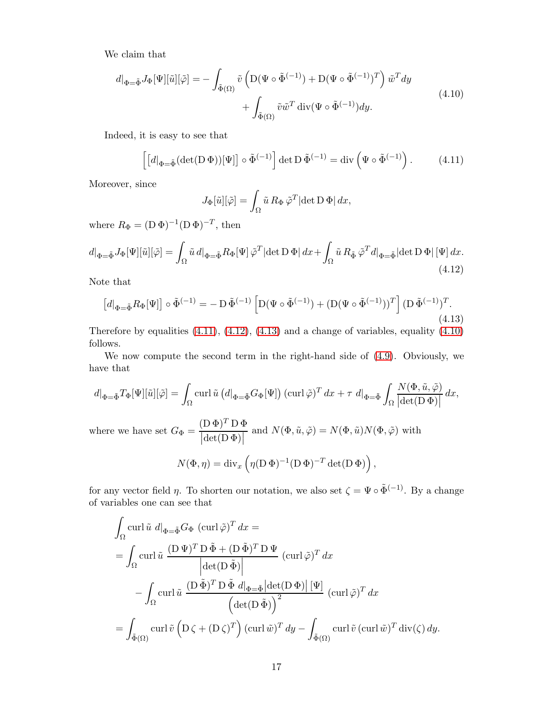We claim that

<span id="page-16-3"></span>
$$
d|_{\Phi = \tilde{\Phi}} J_{\Phi}[\Psi][\tilde{u}][\tilde{\varphi}] = -\int_{\tilde{\Phi}(\Omega)} \tilde{v} \left( D(\Psi \circ \tilde{\Phi}^{(-1)}) + D(\Psi \circ \tilde{\Phi}^{(-1)})^T \right) \tilde{w}^T dy + \int_{\tilde{\Phi}(\Omega)} \tilde{v} \tilde{w}^T \operatorname{div}(\Psi \circ \tilde{\Phi}^{(-1)}) dy.
$$
\n(4.10)

Indeed, it is easy to see that

<span id="page-16-0"></span>
$$
\left[ \left[ d \right]_{\Phi = \tilde{\Phi}} (\det(\mathbf{D} \, \Phi))[\Psi] \right] \circ \tilde{\Phi}^{(-1)} \right] \det \mathbf{D} \, \tilde{\Phi}^{(-1)} = \operatorname{div} \left( \Psi \circ \tilde{\Phi}^{(-1)} \right). \tag{4.11}
$$

Moreover, since

$$
J_{\Phi}[\tilde{u}][\tilde{\varphi}] = \int_{\Omega} \tilde{u} R_{\Phi} \tilde{\varphi}^{T} |\det D \Phi| dx,
$$

where  $R_{\Phi} = (\mathbf{D} \Phi)^{-1} (\mathbf{D} \Phi)^{-T}$ , then

<span id="page-16-1"></span>
$$
d|_{\Phi=\tilde{\Phi}} J_{\Phi}[\Psi][\tilde{u}][\tilde{\varphi}] = \int_{\Omega} \tilde{u} \, d|_{\Phi=\tilde{\Phi}} R_{\Phi}[\Psi] \, \tilde{\varphi}^{T} |\det D \, \Phi| \, dx + \int_{\Omega} \tilde{u} \, R_{\tilde{\Phi}} \, \tilde{\varphi}^{T} d|_{\Phi=\tilde{\Phi}} |\det D \, \Phi| \, [\Psi] \, dx.
$$
\n(4.12)

Note that

<span id="page-16-2"></span>
$$
\left[d|_{\Phi=\tilde{\Phi}}R_{\Phi}[\Psi]\right] \circ \tilde{\Phi}^{(-1)} = -D \tilde{\Phi}^{(-1)} \left[D(\Psi \circ \tilde{\Phi}^{(-1)}) + (D(\Psi \circ \tilde{\Phi}^{(-1)}))^T\right] (D \tilde{\Phi}^{(-1)})^T.
$$
\n(4.13)

Therefore by equalities  $(4.11)$ ,  $(4.12)$ ,  $(4.13)$  and a change of variables, equality  $(4.10)$ follows.

We now compute the second term in the right-hand side of [\(4.9\)](#page-15-1). Obviously, we have that

$$
d|_{\Phi=\tilde{\Phi}}T_{\Phi}[\Psi][\tilde{u}][\tilde{\varphi}] = \int_{\Omega} \operatorname{curl} \tilde{u} \left(d|_{\Phi=\tilde{\Phi}}G_{\Phi}[\Psi]\right) (\operatorname{curl} \tilde{\varphi})^{T} dx + \tau d|_{\Phi=\tilde{\Phi}} \int_{\Omega} \frac{N(\Phi, \tilde{u}, \tilde{\varphi})}{|\det(\mathbf{D}\Phi)|} dx,
$$
  
where we have set  $G_{\Phi} = \frac{(\mathbf{D}\Phi)^{T} \mathbf{D}\Phi}{|\det(\mathbf{D}\Phi)|}$  and  $N(\Phi, \tilde{u}, \tilde{\varphi}) = N(\Phi, \tilde{u})N(\Phi, \tilde{\varphi})$  with  

$$
N(\Phi, \eta) = \operatorname{div}_{x} \left(\eta(\mathbf{D}\Phi)^{-1}(\mathbf{D}\Phi)^{-T} \det(\mathbf{D}\Phi)\right),
$$

for any vector field  $\eta$ . To shorten our notation, we also set  $\zeta = \Psi \circ \tilde{\Phi}^{(-1)}$ . By a change of variables one can see that

$$
\int_{\Omega} \operatorname{curl} \tilde{u} \, d\vert_{\Phi = \tilde{\Phi}} G_{\Phi} \, (\operatorname{curl} \tilde{\varphi})^T \, dx =
$$
\n
$$
= \int_{\Omega} \operatorname{curl} \tilde{u} \, \frac{(\mathbf{D} \, \Psi)^T \, \mathbf{D} \, \tilde{\Phi} + (\mathbf{D} \, \tilde{\Phi})^T \, \mathbf{D} \, \Psi}{\left| \det(\mathbf{D} \, \tilde{\Phi}) \right|} \, (\operatorname{curl} \tilde{\varphi})^T \, dx
$$
\n
$$
- \int_{\Omega} \operatorname{curl} \tilde{u} \, \frac{(\mathbf{D} \, \tilde{\Phi})^T \, \mathbf{D} \, \tilde{\Phi} \, d\vert_{\Phi = \tilde{\Phi}} \left| \det(\mathbf{D} \, \Phi) \right| \, [\Psi]}{\left( \det(\mathbf{D} \, \tilde{\Phi}) \right)^2} \, (\operatorname{curl} \tilde{\varphi})^T \, dx
$$
\n
$$
= \int_{\tilde{\Phi}(\Omega)} \operatorname{curl} \tilde{v} \left( \mathbf{D} \, \zeta + (\mathbf{D} \, \zeta)^T \right) (\operatorname{curl} \tilde{w})^T \, dy - \int_{\tilde{\Phi}(\Omega)} \operatorname{curl} \tilde{v} \left( \operatorname{curl} \tilde{w} \right)^T \operatorname{div}(\zeta) \, dy.
$$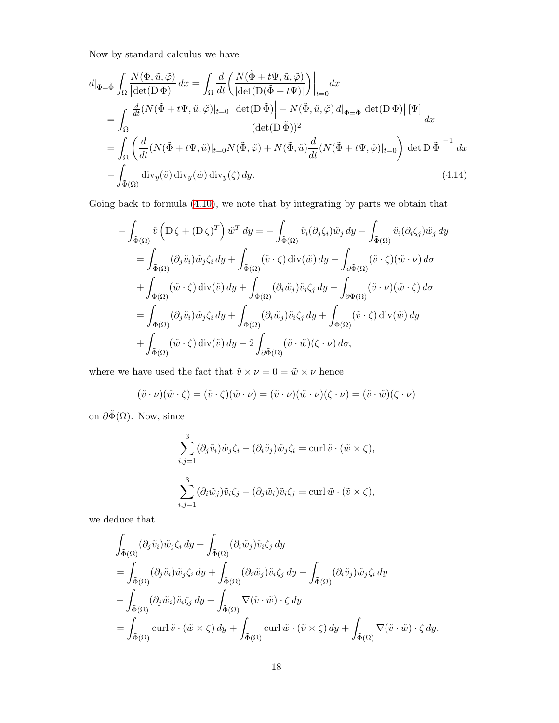Now by standard calculus we have

<span id="page-17-0"></span>
$$
d|_{\Phi=\tilde{\Phi}} \int_{\Omega} \frac{N(\Phi, \tilde{u}, \tilde{\varphi})}{|\det(\mathbf{D}\Phi)|} dx = \int_{\Omega} \frac{d}{dt} \left( \frac{N(\tilde{\Phi} + t\Psi, \tilde{u}, \tilde{\varphi})}{|\det(\mathbf{D}(\tilde{\Phi} + t\Psi))|} \right) \Big|_{t=0} dx
$$
  
\n
$$
= \int_{\Omega} \frac{\frac{d}{dt}(N(\tilde{\Phi} + t\Psi, \tilde{u}, \tilde{\varphi})|_{t=0} |det(\mathbf{D}\tilde{\Phi})| - N(\tilde{\Phi}, \tilde{u}, \tilde{\varphi}) d|_{\Phi=\tilde{\Phi}} |det(\mathbf{D}\Phi)| [\Psi]}{(\det(\mathbf{D}\tilde{\Phi}))^2} dx
$$
  
\n
$$
= \int_{\Omega} \left( \frac{d}{dt}(N(\tilde{\Phi} + t\Psi, \tilde{u})|_{t=0} N(\tilde{\Phi}, \tilde{\varphi}) + N(\tilde{\Phi}, \tilde{u}) \frac{d}{dt}(N(\tilde{\Phi} + t\Psi, \tilde{\varphi})|_{t=0}) |det \mathbf{D}\tilde{\Phi}|^{-1} dx - \int_{\tilde{\Phi}(\Omega)} div_y(\tilde{v}) div_y(\tilde{w}) div_y(\zeta) dy.
$$
\n(4.14)

Going back to formula [\(4.10\)](#page-16-3), we note that by integrating by parts we obtain that

$$
- \int_{\tilde{\Phi}(\Omega)} \tilde{v} \left( D \zeta + (D \zeta)^T \right) \tilde{w}^T dy = - \int_{\tilde{\Phi}(\Omega)} \tilde{v}_i (\partial_j \zeta_i) \tilde{w}_j dy - \int_{\tilde{\Phi}(\Omega)} \tilde{v}_i (\partial_i \zeta_j) \tilde{w}_j dy
$$
  
\n
$$
= \int_{\tilde{\Phi}(\Omega)} (\partial_j \tilde{v}_i) \tilde{w}_j \zeta_i dy + \int_{\tilde{\Phi}(\Omega)} (\tilde{v} \cdot \zeta) \operatorname{div}(\tilde{w}) dy - \int_{\partial \tilde{\Phi}(\Omega)} (\tilde{v} \cdot \zeta) (\tilde{w} \cdot \nu) d\sigma
$$
  
\n
$$
+ \int_{\tilde{\Phi}(\Omega)} (\tilde{w} \cdot \zeta) \operatorname{div}(\tilde{v}) dy + \int_{\tilde{\Phi}(\Omega)} (\partial_i \tilde{w}_j) \tilde{v}_i \zeta_j dy - \int_{\partial \tilde{\Phi}(\Omega)} (\tilde{v} \cdot \nu) (\tilde{w} \cdot \zeta) d\sigma
$$
  
\n
$$
= \int_{\tilde{\Phi}(\Omega)} (\partial_j \tilde{v}_i) \tilde{w}_j \zeta_i dy + \int_{\tilde{\Phi}(\Omega)} (\partial_i \tilde{w}_j) \tilde{v}_i \zeta_j dy + \int_{\tilde{\Phi}(\Omega)} (\tilde{v} \cdot \zeta) \operatorname{div}(\tilde{w}) dy
$$
  
\n
$$
+ \int_{\tilde{\Phi}(\Omega)} (\tilde{w} \cdot \zeta) \operatorname{div}(\tilde{v}) dy - 2 \int_{\partial \tilde{\Phi}(\Omega)} (\tilde{v} \cdot \tilde{w}) (\zeta \cdot \nu) d\sigma,
$$

where we have used the fact that  $\tilde{v}\times \nu=0=\tilde{w}\times \nu$  hence

$$
(\tilde{v} \cdot \nu)(\tilde{w} \cdot \zeta) = (\tilde{v} \cdot \zeta)(\tilde{w} \cdot \nu) = (\tilde{v} \cdot \nu)(\tilde{w} \cdot \nu)(\zeta \cdot \nu) = (\tilde{v} \cdot \tilde{w})(\zeta \cdot \nu)
$$

on  $\partial \tilde{\Phi}(\Omega)$ . Now, since

$$
\sum_{i,j=1}^{3} (\partial_j \tilde{v}_i) \tilde{w}_j \zeta_i - (\partial_i \tilde{v}_j) \tilde{w}_j \zeta_i = \operatorname{curl} \tilde{v} \cdot (\tilde{w} \times \zeta),
$$
  

$$
\sum_{i,j=1}^{3} (\partial_i \tilde{w}_j) \tilde{v}_i \zeta_j - (\partial_j \tilde{w}_i) \tilde{v}_i \zeta_j = \operatorname{curl} \tilde{w} \cdot (\tilde{v} \times \zeta),
$$

we deduce that

$$
\int_{\tilde{\Phi}(\Omega)} (\partial_j \tilde{v}_i) \tilde{w}_j \zeta_i dy + \int_{\tilde{\Phi}(\Omega)} (\partial_i \tilde{w}_j) \tilde{v}_i \zeta_j dy \n= \int_{\tilde{\Phi}(\Omega)} (\partial_j \tilde{v}_i) \tilde{w}_j \zeta_i dy + \int_{\tilde{\Phi}(\Omega)} (\partial_i \tilde{w}_j) \tilde{v}_i \zeta_j dy - \int_{\tilde{\Phi}(\Omega)} (\partial_i \tilde{v}_j) \tilde{w}_j \zeta_i dy \n- \int_{\tilde{\Phi}(\Omega)} (\partial_j \tilde{w}_i) \tilde{v}_i \zeta_j dy + \int_{\tilde{\Phi}(\Omega)} \nabla (\tilde{v} \cdot \tilde{w}) \cdot \zeta dy \n= \int_{\tilde{\Phi}(\Omega)} \operatorname{curl} \tilde{v} \cdot (\tilde{w} \times \zeta) dy + \int_{\tilde{\Phi}(\Omega)} \operatorname{curl} \tilde{w} \cdot (\tilde{v} \times \zeta) dy + \int_{\tilde{\Phi}(\Omega)} \nabla (\tilde{v} \cdot \tilde{w}) \cdot \zeta dy.
$$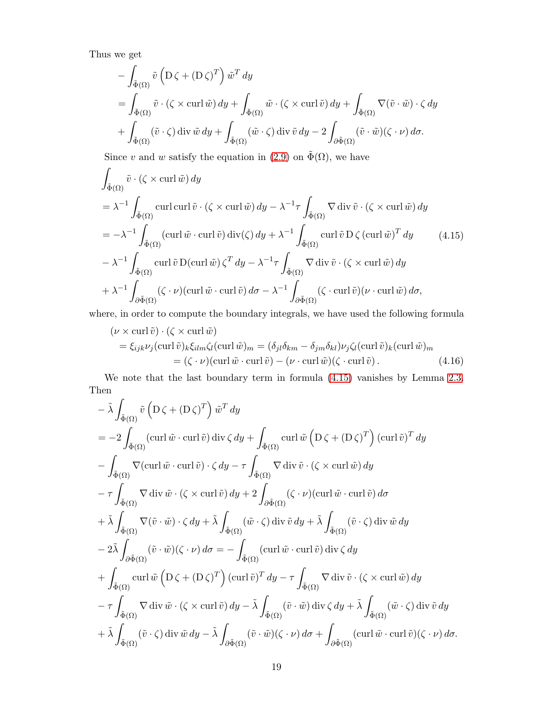Thus we get

$$
- \int_{\tilde{\Phi}(\Omega)} \tilde{v} \left( D \zeta + (D \zeta)^T \right) \tilde{w}^T dy
$$
  
= 
$$
\int_{\tilde{\Phi}(\Omega)} \tilde{v} \cdot (\zeta \times \operatorname{curl} \tilde{w}) dy + \int_{\tilde{\Phi}(\Omega)} \tilde{w} \cdot (\zeta \times \operatorname{curl} \tilde{v}) dy + \int_{\tilde{\Phi}(\Omega)} \nabla (\tilde{v} \cdot \tilde{w}) \cdot \zeta dy
$$
  
+ 
$$
\int_{\tilde{\Phi}(\Omega)} (\tilde{v} \cdot \zeta) \operatorname{div} \tilde{w} dy + \int_{\tilde{\Phi}(\Omega)} (\tilde{w} \cdot \zeta) \operatorname{div} \tilde{v} dy - 2 \int_{\partial \tilde{\Phi}(\Omega)} (\tilde{v} \cdot \tilde{w})(\zeta \cdot \nu) d\sigma.
$$

Since v and w satisfy the equation in [\(2.9\)](#page-6-2) on  $\tilde{\Phi}(\Omega)$ , we have

<span id="page-18-0"></span>
$$
\int_{\tilde{\Phi}(\Omega)} \tilde{v} \cdot (\zeta \times \operatorname{curl} \tilde{w}) dy
$$
\n
$$
= \lambda^{-1} \int_{\tilde{\Phi}(\Omega)} \operatorname{curl} \operatorname{curl} \tilde{v} \cdot (\zeta \times \operatorname{curl} \tilde{w}) dy - \lambda^{-1} \tau \int_{\tilde{\Phi}(\Omega)} \nabla \operatorname{div} \tilde{v} \cdot (\zeta \times \operatorname{curl} \tilde{w}) dy
$$
\n
$$
= -\lambda^{-1} \int_{\tilde{\Phi}(\Omega)} (\operatorname{curl} \tilde{w} \cdot \operatorname{curl} \tilde{v}) \operatorname{div}(\zeta) dy + \lambda^{-1} \int_{\tilde{\Phi}(\Omega)} \operatorname{curl} \tilde{v} D \zeta (\operatorname{curl} \tilde{w})^T dy \qquad (4.15)
$$
\n
$$
- \lambda^{-1} \int_{\tilde{\Phi}(\Omega)} \operatorname{curl} \tilde{v} D (\operatorname{curl} \tilde{w}) \zeta^T dy - \lambda^{-1} \tau \int_{\tilde{\Phi}(\Omega)} \nabla \operatorname{div} \tilde{v} \cdot (\zeta \times \operatorname{curl} \tilde{w}) dy
$$
\n
$$
+ \lambda^{-1} \int_{\partial \tilde{\Phi}(\Omega)} (\zeta \cdot \nu) (\operatorname{curl} \tilde{w} \cdot \operatorname{curl} \tilde{v}) d\sigma - \lambda^{-1} \int_{\partial \tilde{\Phi}(\Omega)} (\zeta \cdot \operatorname{curl} \tilde{v}) (\nu \cdot \operatorname{curl} \tilde{w}) d\sigma,
$$

where, in order to compute the boundary integrals, we have used the following formula

$$
(\nu \times \text{curl} \,\tilde{v}) \cdot (\zeta \times \text{curl} \,\tilde{w})
$$
  
=  $\xi_{ijk}\nu_j(\text{curl} \,\tilde{v})_k\xi_{ilm}\zeta_l(\text{curl} \,\tilde{w})_m = (\delta_{jl}\delta_{km} - \delta_{jm}\delta_{kl})\nu_j\zeta_l(\text{curl} \,\tilde{v})_k(\text{curl} \,\tilde{w})_m$   
=  $(\zeta \cdot \nu)(\text{curl} \,\tilde{w} \cdot \text{curl} \,\tilde{v}) - (\nu \cdot \text{curl} \,\tilde{w})(\zeta \cdot \text{curl} \,\tilde{v})$ . (4.16)

We note that the last boundary term in formula [\(4.15\)](#page-18-0) vanishes by Lemma [2.3.](#page-5-0) Then

$$
- \tilde{\lambda} \int_{\tilde{\Phi}(\Omega)} \tilde{v} \left( D \zeta + (D \zeta)^T \right) \tilde{w}^T dy
$$
  
\n
$$
= -2 \int_{\tilde{\Phi}(\Omega)} (\operatorname{curl} \tilde{w} \cdot \operatorname{curl} \tilde{v}) \operatorname{div} \zeta dy + \int_{\tilde{\Phi}(\Omega)} \operatorname{curl} \tilde{w} \left( D \zeta + (D \zeta)^T \right) (\operatorname{curl} \tilde{v})^T dy
$$
  
\n
$$
- \int_{\tilde{\Phi}(\Omega)} \nabla (\operatorname{curl} \tilde{w} \cdot \operatorname{curl} \tilde{v}) \cdot \zeta dy - \tau \int_{\tilde{\Phi}(\Omega)} \nabla \operatorname{div} \tilde{v} \cdot (\zeta \times \operatorname{curl} \tilde{w}) dy
$$
  
\n
$$
- \tau \int_{\tilde{\Phi}(\Omega)} \nabla \operatorname{div} \tilde{w} \cdot (\zeta \times \operatorname{curl} \tilde{v}) dy + 2 \int_{\partial \tilde{\Phi}(\Omega)} (\zeta \cdot \nu) (\operatorname{curl} \tilde{w} \cdot \operatorname{curl} \tilde{v}) d\sigma
$$
  
\n
$$
+ \tilde{\lambda} \int_{\tilde{\Phi}(\Omega)} \nabla (\tilde{v} \cdot \tilde{w}) \cdot \zeta dy + \tilde{\lambda} \int_{\tilde{\Phi}(\Omega)} (\tilde{w} \cdot \zeta) \operatorname{div} \tilde{v} dy + \tilde{\lambda} \int_{\tilde{\Phi}(\Omega)} (\tilde{v} \cdot \zeta) \operatorname{div} \tilde{w} dy
$$
  
\n
$$
- 2 \tilde{\lambda} \int_{\partial \tilde{\Phi}(\Omega)} (\tilde{v} \cdot \tilde{w}) (\zeta \cdot \nu) d\sigma = - \int_{\tilde{\Phi}(\Omega)} (\operatorname{curl} \tilde{w} \cdot \operatorname{curl} \tilde{v}) \operatorname{div} \zeta dy
$$
  
\n
$$
+ \int_{\tilde{\Phi}(\Omega)} \operatorname{curl} \tilde{w} \left( D \zeta + (D \zeta)^T \right) (\operatorname{curl} \tilde{v})^T dy - \tau \int_{\tilde{\Phi}(\Omega)} \nabla \operatorname{div} \tilde{v} \cdot (\
$$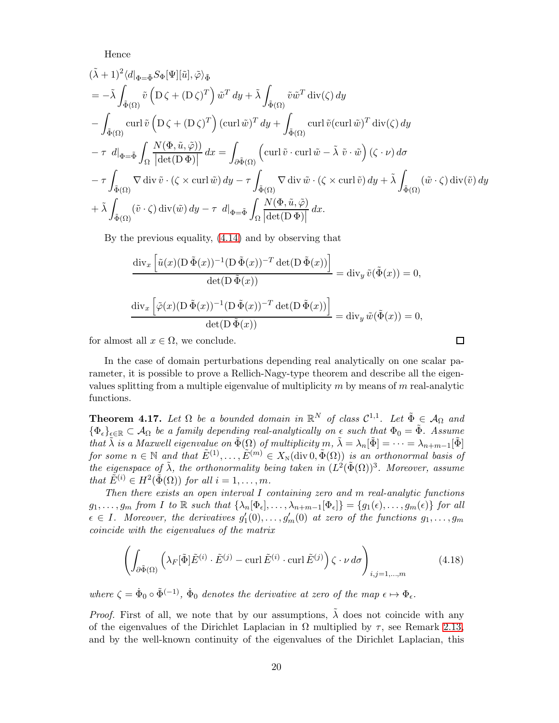Hence

$$
(\tilde{\lambda} + 1)^2 \langle d|_{\Phi = \tilde{\Phi}} S_{\Phi}[\Psi][\tilde{u}], \tilde{\varphi} \rangle_{\tilde{\Phi}}
$$
  
\n
$$
= -\tilde{\lambda} \int_{\tilde{\Phi}(\Omega)} \tilde{v} \left( D \zeta + (D \zeta)^T \right) \tilde{w}^T dy + \tilde{\lambda} \int_{\tilde{\Phi}(\Omega)} \tilde{v} \tilde{w}^T \operatorname{div}(\zeta) dy
$$
  
\n
$$
- \int_{\tilde{\Phi}(\Omega)} \operatorname{curl} \tilde{v} \left( D \zeta + (D \zeta)^T \right) (\operatorname{curl} \tilde{w})^T dy + \int_{\tilde{\Phi}(\Omega)} \operatorname{curl} \tilde{v} (\operatorname{curl} \tilde{w})^T \operatorname{div}(\zeta) dy
$$
  
\n
$$
- \tau d|_{\Phi = \tilde{\Phi}} \int_{\Omega} \frac{N(\Phi, \tilde{u}, \tilde{\varphi}))}{|\det(D \Phi)|} dx = \int_{\partial \tilde{\Phi}(\Omega)} \left( \operatorname{curl} \tilde{v} \cdot \operatorname{curl} \tilde{w} - \tilde{\lambda} \tilde{v} \cdot \tilde{w} \right) (\zeta \cdot \nu) d\sigma
$$
  
\n
$$
- \tau \int_{\tilde{\Phi}(\Omega)} \nabla \operatorname{div} \tilde{v} \cdot (\zeta \times \operatorname{curl} \tilde{w}) dy - \tau \int_{\tilde{\Phi}(\Omega)} \nabla \operatorname{div} \tilde{w} \cdot (\zeta \times \operatorname{curl} \tilde{v}) dy + \tilde{\lambda} \int_{\tilde{\Phi}(\Omega)} (\tilde{w} \cdot \zeta) \operatorname{div} (\tilde{v}) dy
$$
  
\n
$$
+ \tilde{\lambda} \int_{\tilde{\Phi}(\Omega)} (\tilde{v} \cdot \zeta) \operatorname{div} (\tilde{w}) dy - \tau d|_{\Phi = \tilde{\Phi}} \int_{\Omega} \frac{N(\Phi, \tilde{u}, \tilde{\varphi})}{|\det(D \Phi)|} dx.
$$

By the previous equality, [\(4.14\)](#page-17-0) and by observing that

$$
\frac{\operatorname{div}_x \left[ \tilde{u}(x) (\operatorname{D} \tilde{\Phi}(x))^{-1} (\operatorname{D} \tilde{\Phi}(x))^{-T} \operatorname{det}(\operatorname{D} \tilde{\Phi}(x)) \right]}{\operatorname{det}(\operatorname{D} \tilde{\Phi}(x))} = \operatorname{div}_y \tilde{v}(\tilde{\Phi}(x)) = 0,
$$
  

$$
\frac{\operatorname{div}_x \left[ \tilde{\varphi}(x) (\operatorname{D} \tilde{\Phi}(x))^{-1} (\operatorname{D} \tilde{\Phi}(x))^{-T} \operatorname{det}(\operatorname{D} \tilde{\Phi}(x)) \right]}{\operatorname{det}(\operatorname{D} \tilde{\Phi}(x))} = \operatorname{div}_y \tilde{w}(\tilde{\Phi}(x)) = 0,
$$

for almost all  $x \in \Omega$ , we conclude.

In the case of domain perturbations depending real analytically on one scalar parameter, it is possible to prove a Rellich-Nagy-type theorem and describe all the eigenvalues splitting from a multiple eigenvalue of multiplicity  $m$  by means of  $m$  real-analytic functions.

<span id="page-19-1"></span>**Theorem 4.17.** Let  $\Omega$  be a bounded domain in  $\mathbb{R}^N$  of class  $C^{1,1}$ . Let  $\tilde{\Phi} \in \mathcal{A}_{\Omega}$  and  ${\{\Phi_{\epsilon}\}}_{\epsilon \in \mathbb{R}} \subset A_{\Omega}$  be a family depending real-analytically on  $\epsilon$  such that  $\Phi_0 = \tilde{\Phi}$ . Assume that  $\tilde{\lambda}$  is a Maxwell eigenvalue on  $\tilde{\Phi}(\Omega)$  of multiplicity  $m, \tilde{\lambda} = \lambda_n[\tilde{\Phi}] = \cdots = \lambda_{n+m-1}[\tilde{\Phi}]$ for some  $n \in \mathbb{N}$  and that  $\tilde{E}^{(1)}, \ldots, \tilde{E}^{(m)} \in X_{\text{N}}(\text{div } 0, \tilde{\Phi}(\Omega))$  is an orthonormal basis of the eigenspace of  $\tilde{\lambda}$ , the orthonormality being taken in  $(L^2(\tilde{\Phi}(\Omega))^3$ . Moreover, assume that  $\tilde{E}^{(i)} \in H^2(\tilde{\Phi}(\Omega))$  for all  $i = 1, \ldots, m$ .

Then there exists an open interval  $I$  containing zero and  $m$  real-analytic functions  $g_1, \ldots, g_m$  from I to R such that  $\{\lambda_n[\Phi_\epsilon], \ldots, \lambda_{n+m-1}[\Phi_\epsilon]\} = \{g_1(\epsilon), \ldots, g_m(\epsilon)\}\$  for all  $\epsilon \in I$ . Moreover, the derivatives  $g'_1(0), \ldots, g'_m(0)$  at zero of the functions  $g_1, \ldots, g_m$ coincide with the eigenvalues of the matrix

<span id="page-19-0"></span>
$$
\left(\int_{\partial \tilde{\Phi}(\Omega)} \left(\lambda_F[\tilde{\Phi}]\tilde{E}^{(i)} \cdot \tilde{E}^{(j)} - \operatorname{curl} \tilde{E}^{(i)} \cdot \operatorname{curl} \tilde{E}^{(j)}\right) \zeta \cdot \nu \, d\sigma\right)_{i,j=1,\dots,m} \tag{4.18}
$$

where  $\zeta = \dot{\Phi}_0 \circ \tilde{\Phi}^{(-1)}$ ,  $\dot{\Phi}_0$  denotes the derivative at zero of the map  $\epsilon \mapsto \Phi_{\epsilon}$ .

*Proof.* First of all, we note that by our assumptions,  $\lambda$  does not coincide with any of the eigenvalues of the Dirichlet Laplacian in  $\Omega$  multiplied by  $\tau$ , see Remark [2.13,](#page-6-1) and by the well-known continuity of the eigenvalues of the Dirichlet Laplacian, this

 $\Box$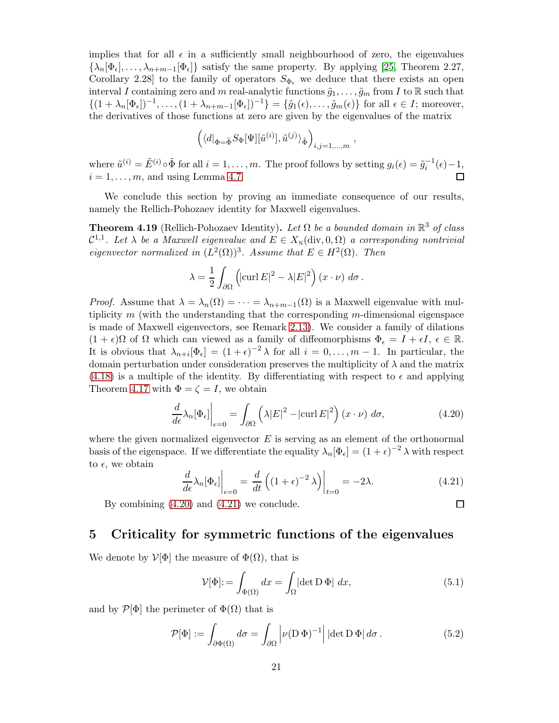implies that for all  $\epsilon$  in a sufficiently small neighbourhood of zero, the eigenvalues  ${\lambda_n[\Phi_{\epsilon}], \ldots, \lambda_{n+m-1}[\Phi_{\epsilon}]}$  satisfy the same property. By applying [\[25,](#page-28-7) Theorem 2.27, Corollary 2.28] to the family of operators  $S_{\Phi_{\epsilon}}$  we deduce that there exists an open interval I containing zero and m real-analytic functions  $\tilde{g}_1, \ldots, \tilde{g}_m$  from I to R such that  $\{(1 + \lambda_n[\Phi_\epsilon])^{-1}, \ldots, (1 + \lambda_{n+m-1}[\Phi_\epsilon])^{-1}\} = \{\tilde{g}_1(\epsilon), \ldots, \tilde{g}_m(\epsilon)\}\$ for all  $\epsilon \in I$ ; moreover, the derivatives of those functions at zero are given by the eigenvalues of the matrix

$$
\left( \langle d |_{\Phi = \tilde{\Phi}} S_{\Phi}[\Psi] [\tilde{u}^{(i)}], \tilde{u}^{(j)} \rangle_{\tilde{\Phi}} \right)_{i,j=1,\dots,m},
$$

where  $\tilde{u}^{(i)} = \tilde{E}^{(i)} \circ \tilde{\Phi}$  for all  $i = 1, ..., m$ . The proof follows by setting  $g_i(\epsilon) = \tilde{g}_i^{-1}(\epsilon) - 1$ ,  $i = 1, \ldots, m$ , and using Lemma [4.7.](#page-15-0)

We conclude this section by proving an immediate consequence of our results, namely the Rellich-Pohozaev identity for Maxwell eigenvalues.

**Theorem 4.19** (Rellich-Pohozaev Identity). Let  $\Omega$  be a bounded domain in  $\mathbb{R}^3$  of class  $\mathcal{C}^{1,1}$ . Let  $\lambda$  be a Maxwell eigenvalue and  $E \in X_{\mathbb{N}}(\text{div}, 0, \Omega)$  a corresponding nontrivial eigenvector normalized in  $(L^2(\Omega))^3$ . Assume that  $E \in H^2(\Omega)$ . Then

$$
\lambda = \frac{1}{2} \int_{\partial \Omega} \left( |\text{curl } E|^2 - \lambda |E|^2 \right) (x \cdot \nu) \, d\sigma \, .
$$

*Proof.* Assume that  $\lambda = \lambda_n(\Omega) = \cdots = \lambda_{n+m-1}(\Omega)$  is a Maxwell eigenvalue with multiplicity  $m$  (with the understanding that the corresponding  $m$ -dimensional eigenspace is made of Maxwell eigenvectors, see Remark [2.13\)](#page-6-1). We consider a family of dilations  $(1 + \epsilon)\Omega$  of  $\Omega$  which can viewed as a family of diffeomorphisms  $\Phi_{\epsilon} = I + \epsilon I, \epsilon \in \mathbb{R}$ . It is obvious that  $\lambda_{n+i}[\Phi_{\epsilon}] = (1+\epsilon)^{-2} \lambda$  for all  $i = 0, \ldots, m-1$ . In particular, the domain perturbation under consideration preserves the multiplicity of  $\lambda$  and the matrix  $(4.18)$  is a multiple of the identity. By differentiating with respect to  $\epsilon$  and applying Theorem [4.17](#page-19-1) with  $\Phi = \zeta = I$ , we obtain

<span id="page-20-1"></span>
$$
\frac{d}{d\epsilon}\lambda_n[\Phi_\epsilon]\bigg|_{\epsilon=0} = \int_{\partial\Omega} \left(\lambda |E|^2 - |\text{curl}\,E|^2\right) (x \cdot \nu) \, d\sigma,\tag{4.20}
$$

where the given normalized eigenvector  $E$  is serving as an element of the orthonormal basis of the eigenspace. If we differentiate the equality  $\lambda_n[\Phi_\epsilon] = (1+\epsilon)^{-2} \lambda$  with respect to  $\epsilon$ , we obtain

<span id="page-20-2"></span>
$$
\frac{d}{d\epsilon}\lambda_n[\Phi_\epsilon]\bigg|_{\epsilon=0} = \frac{d}{dt}\left((1+\epsilon)^{-2}\lambda\right)\bigg|_{t=0} = -2\lambda.
$$
\n(4.21)

口

By combining [\(4.20\)](#page-20-1) and [\(4.21\)](#page-20-2) we conclude.

#### <span id="page-20-0"></span>5 Criticality for symmetric functions of the eigenvalues

We denote by  $V[\Phi]$  the measure of  $\Phi(\Omega)$ , that is

<span id="page-20-3"></span>
$$
\mathcal{V}[\Phi] := \int_{\Phi(\Omega)} dx = \int_{\Omega} |\det \mathcal{D} \Phi| dx, \tag{5.1}
$$

and by  $\mathcal{P}[\Phi]$  the perimeter of  $\Phi(\Omega)$  that is

$$
\mathcal{P}[\Phi] := \int_{\partial \Phi(\Omega)} d\sigma = \int_{\partial \Omega} \left| \nu (\mathcal{D} \Phi)^{-1} \right| |\det \mathcal{D} \Phi| d\sigma. \tag{5.2}
$$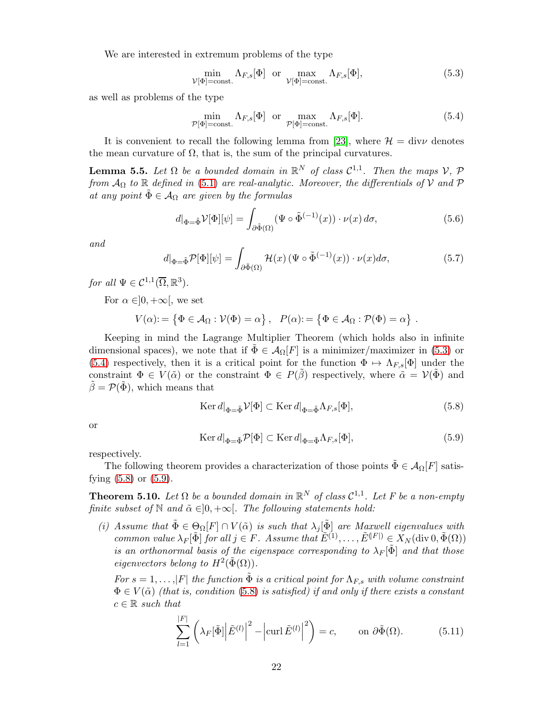We are interested in extremum problems of the type

<span id="page-21-1"></span>
$$
\min_{\mathcal{V}[\Phi]=\text{const.}} \Lambda_{F,s}[\Phi] \quad \text{or} \quad \max_{\mathcal{V}[\Phi]=\text{const.}} \Lambda_{F,s}[\Phi],\tag{5.3}
$$

as well as problems of the type

<span id="page-21-2"></span>
$$
\min_{\mathcal{P}[\Phi]=\text{const.}} \Lambda_{F,s}[\Phi] \quad \text{or} \quad \max_{\mathcal{P}[\Phi]=\text{const.}} \Lambda_{F,s}[\Phi]. \tag{5.4}
$$

It is convenient to recall the following lemma from [\[23\]](#page-27-14), where  $\mathcal{H} = \text{div}\nu$  denotes the mean curvature of  $\Omega$ , that is, the sum of the principal curvatures.

**Lemma 5.5.** Let  $\Omega$  be a bounded domain in  $\mathbb{R}^N$  of class  $C^{1,1}$ . Then the maps  $V$ ,  $\mathcal{P}$ from  $\mathcal{A}_{\Omega}$  to R defined in [\(5.1\)](#page-20-3) are real-analytic. Moreover, the differentials of V and P at any point  $\Phi \in A_{\Omega}$  are given by the formulas

<span id="page-21-5"></span>
$$
d|_{\Phi = \tilde{\Phi}} \mathcal{V}[\Phi][\psi] = \int_{\partial \tilde{\Phi}(\Omega)} (\Psi \circ \tilde{\Phi}^{(-1)}(x)) \cdot \nu(x) \, d\sigma,\tag{5.6}
$$

and

<span id="page-21-6"></span>
$$
d|_{\Phi = \tilde{\Phi}} \mathcal{P}[\Phi][\psi] = \int_{\partial \tilde{\Phi}(\Omega)} \mathcal{H}(x) \left(\Psi \circ \tilde{\Phi}^{(-1)}(x)\right) \cdot \nu(x) d\sigma,\tag{5.7}
$$

for all  $\Psi \in \mathcal{C}^{1,1}(\overline{\Omega}, \mathbb{R}^3)$ .

For  $\alpha \in ]0, +\infty[$ , we set

$$
V(\alpha): = \left\{ \Phi \in \mathcal{A}_{\Omega} : \mathcal{V}(\Phi) = \alpha \right\}, \quad P(\alpha): = \left\{ \Phi \in \mathcal{A}_{\Omega} : \mathcal{P}(\Phi) = \alpha \right\}.
$$

Keeping in mind the Lagrange Multiplier Theorem (which holds also in infinite dimensional spaces), we note that if  $\Phi \in \mathcal{A}_{\Omega}[F]$  is a minimizer/maximizer in [\(5.3\)](#page-21-1) or [\(5.4\)](#page-21-2) respectively, then it is a critical point for the function  $\Phi \mapsto \Lambda_{F,s}[\Phi]$  under the constraint  $\Phi \in V(\tilde{\alpha})$  or the constraint  $\Phi \in P(\tilde{\beta})$  respectively, where  $\tilde{\alpha} = V(\tilde{\Phi})$  and  $\tilde{\beta} = \mathcal{P}(\tilde{\Phi})$ , which means that

<span id="page-21-3"></span>
$$
\operatorname{Ker} d|_{\Phi = \tilde{\Phi}} \mathcal{V}[\Phi] \subset \operatorname{Ker} d|_{\Phi = \tilde{\Phi}} \Lambda_{F,s}[\Phi],\tag{5.8}
$$

or

<span id="page-21-4"></span>
$$
\operatorname{Ker} d|_{\Phi = \tilde{\Phi}} \mathcal{P}[\Phi] \subset \operatorname{Ker} d|_{\Phi = \tilde{\Phi}} \Lambda_{F,s}[\Phi],\tag{5.9}
$$

respectively.

The following theorem provides a characterization of those points  $\Phi \in \mathcal{A}_{\Omega}[F]$  satisfying [\(5.8\)](#page-21-3) or [\(5.9\)](#page-21-4).

<span id="page-21-0"></span>**Theorem 5.10.** Let  $\Omega$  be a bounded domain in  $\mathbb{R}^N$  of class  $\mathcal{C}^{1,1}$ . Let F be a non-empty finite subset of  $\mathbb N$  and  $\tilde{\alpha} \in ]0, +\infty[$ . The following statements hold:

(i) Assume that  $\tilde{\Phi} \in \Theta_{\Omega}[F] \cap V(\tilde{\alpha})$  is such that  $\lambda_j[\tilde{\Phi}]$  are Maxwell eigenvalues with common value  $\lambda_F[\tilde{\Phi}]$  for all  $j \in F$ . Assume that  $\tilde{E}^{(1)}, \ldots, \tilde{E}^{(F)} \in X_N(\text{div } 0, \tilde{\Phi}(\Omega))$ is an orthonormal basis of the eigenspace corresponding to  $\lambda_F[\tilde{\Phi}]$  and that those eigenvectors belong to  $H^2(\tilde{\Phi}(\Omega))$ .

For  $s = 1, \ldots, |F|$  the function  $\tilde{\Phi}$  is a critical point for  $\Lambda_{F,s}$  with volume constraint  $\Phi \in V(\tilde{\alpha})$  (that is, condition [\(5.8\)](#page-21-3) is satisfied) if and only if there exists a constant  $c \in \mathbb{R}$  such that

<span id="page-21-7"></span>
$$
\sum_{l=1}^{|F|} \left( \lambda_F[\tilde{\Phi}] \left| \tilde{E}^{(l)} \right|^2 - \left| \operatorname{curl} \tilde{E}^{(l)} \right|^2 \right) = c, \qquad \text{on } \partial \tilde{\Phi}(\Omega). \tag{5.11}
$$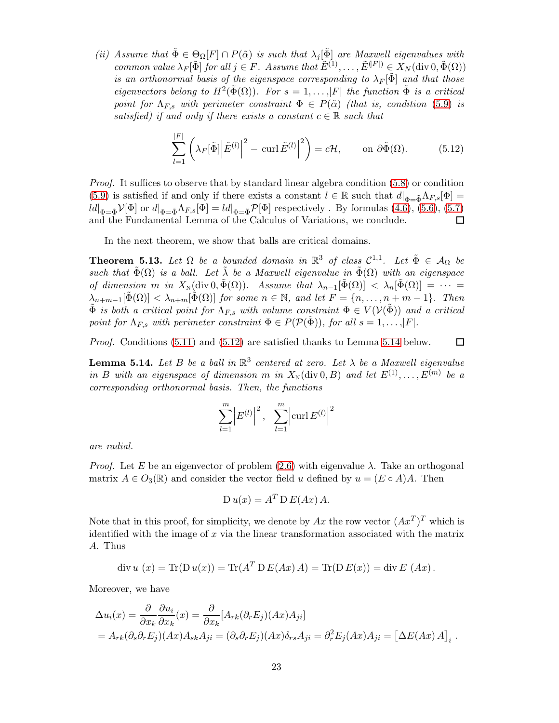(ii) Assume that  $\tilde{\Phi} \in \Theta_{\Omega}[F] \cap P(\tilde{\alpha})$  is such that  $\lambda_j[\tilde{\Phi}]$  are Maxwell eigenvalues with common value  $\lambda_F[\tilde{\Phi}]$  for all  $j \in F$ . Assume that  $\tilde{E}^{(1)}, \ldots, \tilde{E}^{(F)} \in X_N(\text{div } 0, \tilde{\Phi}(\Omega))$ is an orthonormal basis of the eigenspace corresponding to  $\lambda_F[\tilde{\Phi}]$  and that those eigenvectors belong to  $H^2(\tilde{\Phi}(\Omega))$ . For  $s = 1, ..., |F|$  the function  $\tilde{\Phi}$  is a critical point for  $\Lambda_{F,s}$  with perimeter constraint  $\Phi \in P(\tilde{\alpha})$  (that is, condition [\(5.9\)](#page-21-4) is satisfied) if and only if there exists a constant  $c \in \mathbb{R}$  such that

<span id="page-22-1"></span>
$$
\sum_{l=1}^{|F|} \left( \lambda_F[\tilde{\Phi}] \left| \tilde{E}^{(l)} \right|^2 - \left| \operatorname{curl} \tilde{E}^{(l)} \right|^2 \right) = c\mathcal{H}, \qquad \text{on } \partial \tilde{\Phi}(\Omega). \tag{5.12}
$$

Proof. It suffices to observe that by standard linear algebra condition [\(5.8\)](#page-21-3) or condition [\(5.9\)](#page-21-4) is satisfied if and only if there exists a constant  $l \in \mathbb{R}$  such that  $d|_{\Phi=\tilde{\Phi}}\Lambda_{F,s}[\Phi]=$  $\lVert d \rVert_{\Phi = \tilde{\Phi}} \mathcal{V}[\Phi]$  or  $d \rVert_{\Phi = \tilde{\Phi}} \Lambda_{F,s}[\Phi] = \lVert d \rVert_{\Phi = \tilde{\Phi}} \mathcal{P}[\Phi]$  respectively . By formulas  $(4.6), (5.6), (5.7)$  $(4.6), (5.6), (5.7)$  $(4.6), (5.6), (5.7)$  $(4.6), (5.6), (5.7)$ and the Fundamental Lemma of the Calculus of Variations, we conclude. □

In the next theorem, we show that balls are critical domains.

<span id="page-22-0"></span>**Theorem 5.13.** Let  $\Omega$  be a bounded domain in  $\mathbb{R}^3$  of class  $C^{1,1}$ . Let  $\tilde{\Phi} \in A_{\Omega}$  be such that  $\tilde{\Phi}(\Omega)$  is a ball. Let  $\tilde{\lambda}$  be a Maxwell eigenvalue in  $\tilde{\Phi}(\Omega)$  with an eigenspace of dimension m in  $X_N(\text{div } 0, \tilde{\Phi}(\Omega))$ . Assume that  $\lambda_{n-1}[\tilde{\Phi}(\Omega)] < \lambda_n[\tilde{\Phi}(\Omega)] = \cdots$  $\lambda_{n+m-1}[\tilde{\Phi}(\Omega)] < \lambda_{n+m}[\tilde{\Phi}(\Omega)]$  for some  $n \in \mathbb{N}$ , and let  $F = \{n, \ldots, n+m-1\}$ . Then  $\tilde{\Phi}$  is both a critical point for  $\Lambda_{F,s}$  with volume constraint  $\Phi \in V(\mathcal{V}(\tilde{\Phi}))$  and a critical point for  $\Lambda_{F,s}$  with perimeter constraint  $\Phi \in P(\mathcal{P}(\Phi))$ , for all  $s = 1, \ldots, |F|$ .

Proof. Conditions  $(5.11)$  and  $(5.12)$  are satisfied thanks to Lemma [5.14](#page-22-2) below.  $\Box$ 

<span id="page-22-2"></span>**Lemma 5.14.** Let B be a ball in  $\mathbb{R}^3$  centered at zero. Let  $\lambda$  be a Maxwell eigenvalue in B with an eigenspace of dimension m in  $X_N(\text{div } 0, B)$  and let  $E^{(1)}, \ldots, E^{(m)}$  be a corresponding orthonormal basis. Then, the functions

$$
\sum_{l=1}^{m} |E^{(l)}|^2, \sum_{l=1}^{m} |\text{curl } E^{(l)}|^2
$$

are radial.

*Proof.* Let E be an eigenvector of problem  $(2.6)$  with eigenvalue  $\lambda$ . Take an orthogonal matrix  $A \in O_3(\mathbb{R})$  and consider the vector field u defined by  $u = (E \circ A)A$ . Then

$$
D u(x) = A^T D E(Ax) A.
$$

Note that in this proof, for simplicity, we denote by  $Ax$  the row vector  $(Ax^T)^T$  which is identified with the image of  $x$  via the linear transformation associated with the matrix A. Thus

$$
\operatorname{div} u(x) = \operatorname{Tr}(\operatorname{D} u(x)) = \operatorname{Tr}(A^T \operatorname{D} E(Ax) A) = \operatorname{Tr}(\operatorname{D} E(x)) = \operatorname{div} E(Ax).
$$

Moreover, we have

$$
\Delta u_i(x) = \frac{\partial}{\partial x_k} \frac{\partial u_i}{\partial x_k}(x) = \frac{\partial}{\partial x_k} [A_{rk}(\partial_r E_j)(Ax) A_{ji}]
$$
  
=  $A_{rk}(\partial_s \partial_r E_j)(Ax) A_{sk} A_{ji} = (\partial_s \partial_r E_j)(Ax) \delta_{rs} A_{ji} = \partial_r^2 E_j(Ax) A_{ji} = [\Delta E(Ax) A]_i$ .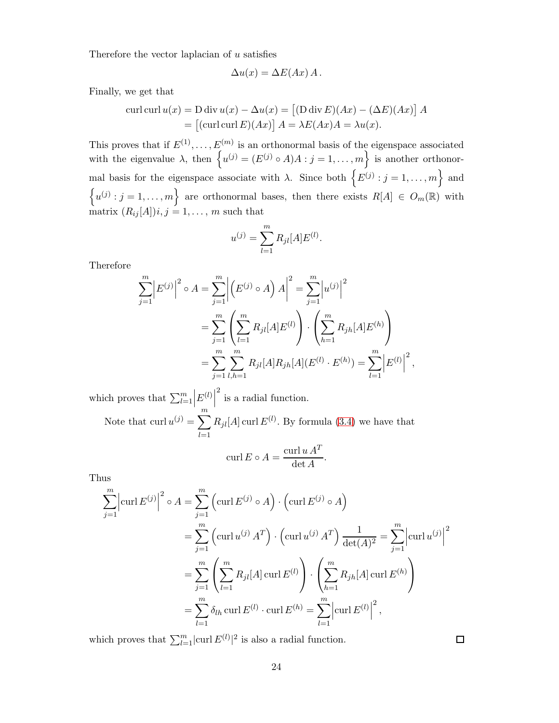Therefore the vector laplacian of  $u$  satisfies

$$
\Delta u(x) = \Delta E(Ax) A.
$$

Finally, we get that

$$
\text{curl curl } u(x) = D \text{ div } u(x) - \Delta u(x) = \left[ (\text{D div } E)(Ax) - (\Delta E)(Ax) \right] A
$$

$$
= \left[ (\text{curl curl } E)(Ax) \right] A = \lambda E(Ax)A = \lambda u(x).
$$

This proves that if  $E^{(1)}, \ldots, E^{(m)}$  is an orthonormal basis of the eigenspace associated with the eigenvalue  $\lambda$ , then  $\{u^{(j)} = (E^{(j)} \circ A)A : j = 1, \ldots, m\}$  is another orthonormal basis for the eigenspace associate with  $\lambda$ . Since both  $\{E^{(j)}: j = 1, \ldots, m\}$  and  $\left\{u^{(j)}: j=1,\ldots,m\right\}$  are orthonormal bases, then there exists  $R[A] \in O_m(\mathbb{R})$  with matrix  $(R_{ij}[A])i, j = 1, \ldots, m$  such that

$$
u^{(j)} = \sum_{l=1}^{m} R_{jl} [A] E^{(l)}.
$$

Therefore

$$
\sum_{j=1}^{m} |E^{(j)}|^2 \circ A = \sum_{j=1}^{m} |(E^{(j)} \circ A) A|^2 = \sum_{j=1}^{m} |u^{(j)}|^2
$$
  
= 
$$
\sum_{j=1}^{m} \left( \sum_{l=1}^{m} R_{jl}[A] E^{(l)} \right) \cdot \left( \sum_{h=1}^{m} R_{jh}[A] E^{(h)} \right)
$$
  
= 
$$
\sum_{j=1}^{m} \sum_{l,h=1}^{m} R_{jl}[A] R_{jh}[A] (E^{(l)} \cdot E^{(h)}) = \sum_{l=1}^{m} |E^{(l)}|^2,
$$

which proves that  $\sum_{l=1}^{m}$  $\left| \frac{E^{(l)}}{m} \right|$  $\frac{2}{1}$  is a radial function. Note that  $\text{curl } u^{(j)} = \sum_{j=1}^{m}$  $_{l=1}$  $R_{jl}[A]$  curl  $E^{(l)}$ . By formula [\(3.4\)](#page-8-1) we have that

$$
\operatorname{curl} E \circ A = \frac{\operatorname{curl} u A^T}{\det A}.
$$

Thus

$$
\sum_{j=1}^{m} \left| \operatorname{curl} E^{(j)} \right|^{2} \circ A = \sum_{j=1}^{m} \left( \operatorname{curl} E^{(j)} \circ A \right) \cdot \left( \operatorname{curl} E^{(j)} \circ A \right)
$$
  
= 
$$
\sum_{j=1}^{m} \left( \operatorname{curl} u^{(j)} A^{T} \right) \cdot \left( \operatorname{curl} u^{(j)} A^{T} \right) \frac{1}{\det(A)^{2}} = \sum_{j=1}^{m} \left| \operatorname{curl} u^{(j)} \right|^{2}
$$
  
= 
$$
\sum_{j=1}^{m} \left( \sum_{l=1}^{m} R_{jl}[A] \operatorname{curl} E^{(l)} \right) \cdot \left( \sum_{h=1}^{m} R_{jh}[A] \operatorname{curl} E^{(h)} \right)
$$
  
= 
$$
\sum_{l=1}^{m} \delta_{lh} \operatorname{curl} E^{(l)} \cdot \operatorname{curl} E^{(h)} = \sum_{l=1}^{m} \left| \operatorname{curl} E^{(l)} \right|^{2},
$$

which proves that  $\sum_{l=1}^{m} |\text{curl } E^{(l)}|^2$  is also a radial function.

 $\Box$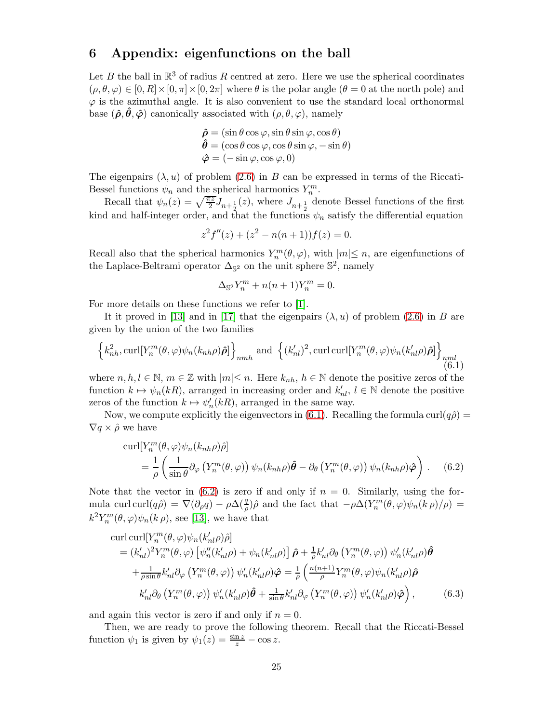## 6 Appendix: eigenfunctions on the ball

Let B the ball in  $\mathbb{R}^3$  of radius R centred at zero. Here we use the spherical coordinates  $(\rho, \theta, \varphi) \in [0, R] \times [0, \pi] \times [0, 2\pi]$  where  $\theta$  is the polar angle  $(\theta = 0$  at the north pole) and  $\varphi$  is the azimuthal angle. It is also convenient to use the standard local orthonormal base  $(\hat{\rho}, \hat{\theta}, \hat{\varphi})$  canonically associated with  $(\rho, \theta, \varphi)$ , namely

$$
\hat{\rho} = (\sin \theta \cos \varphi, \sin \theta \sin \varphi, \cos \theta) \n\hat{\theta} = (\cos \theta \cos \varphi, \cos \theta \sin \varphi, -\sin \theta) \n\hat{\varphi} = (-\sin \varphi, \cos \varphi, 0)
$$

The eigenpairs  $(\lambda, u)$  of problem [\(2.6\)](#page-5-2) in B can be expressed in terms of the Riccati-Bessel functions  $\psi_n$  and the spherical harmonics  $Y_n^m$ .

Recall that  $\psi_n(z) = \sqrt{\frac{\pi z}{2}} J_{n+\frac{1}{2}}(z)$ , where  $J_{n+\frac{1}{2}}$  denote Bessel functions of the first kind and half-integer order, and that the functions  $\psi_n$  satisfy the differential equation

$$
z2 f''(z) + (z2 - n(n+1))f(z) = 0.
$$

Recall also that the spherical harmonics  $Y_n^m(\theta, \varphi)$ , with  $|m| \leq n$ , are eigenfunctions of the Laplace-Beltrami operator  $\Delta_{\mathbb{S}^2}$  on the unit sphere  $\mathbb{S}^2$ , namely

$$
\Delta_{\mathbb{S}^2} Y_n^m + n(n+1) Y_n^m = 0.
$$

For more details on these functions we refer to [\[1\]](#page-26-7).

It it proved in [\[13\]](#page-27-7) and in [\[17\]](#page-27-0) that the eigenpairs  $(\lambda, u)$  of problem [\(2.6\)](#page-5-2) in B are given by the union of the two families

<span id="page-24-0"></span>
$$
\left\{k_{nh}^2, \text{curl}[Y_n^m(\theta, \varphi)\psi_n(k_{nh}\rho)\hat{\boldsymbol{\rho}}]\right\}_{nmh} \text{ and } \left\{(k_{nl}')^2, \text{curl}\,\text{curl}[Y_n^m(\theta, \varphi)\psi_n(k_{nl}'\rho)\hat{\boldsymbol{\rho}}]\right\}_{nml} \tag{6.1}
$$

where  $n, h, l \in \mathbb{N}$ ,  $m \in \mathbb{Z}$  with  $|m| \leq n$ . Here  $k_{nh}, h \in \mathbb{N}$  denote the positive zeros of the function  $k \mapsto \psi_n(kR)$ , arranged in increasing order and  $k'_{nl}$ ,  $l \in \mathbb{N}$  denote the positive zeros of the function  $k \mapsto \psi'_n(kR)$ , arranged in the same way.

Now, we compute explicitly the eigenvectors in [\(6.1\)](#page-24-0). Recalling the formula curl( $q\hat{\rho}$ ) =  $\nabla q \times \hat{\rho}$  we have

<span id="page-24-1"></span>
$$
\text{curl}[Y_n^m(\theta,\varphi)\psi_n(k_{nh}\rho)\hat{\rho}]
$$
\n
$$
= \frac{1}{\rho} \left( \frac{1}{\sin \theta} \partial_\varphi \left( Y_n^m(\theta,\varphi) \right) \psi_n(k_{nh}\rho) \hat{\theta} - \partial_\theta \left( Y_n^m(\theta,\varphi) \right) \psi_n(k_{nh}\rho) \hat{\varphi} \right). \quad (6.2)
$$

Note that the vector in  $(6.2)$  is zero if and only if  $n = 0$ . Similarly, using the formula curl curl $(q\hat{\rho}) = \nabla(\partial_{\rho}q) - \rho \Delta(\frac{q}{\rho})\hat{\rho}$  and the fact that  $-\rho \Delta(Y_n^m(\theta, \varphi)\psi_n(k\rho)/\rho) =$  $k^2 Y_n^m(\theta, \varphi) \psi_n(k \rho)$ , see [\[13\]](#page-27-7), we have that

<span id="page-24-2"></span>
$$
\text{curl}\,\text{curl}\left[Y_{n}^{m}(\theta,\varphi)\psi_{n}(k'_{nl}\rho)\hat{\rho}\right]
$$
\n
$$
= (k'_{nl})^{2}Y_{n}^{m}(\theta,\varphi)\left[\psi_{n}''(k'_{nl}\rho) + \psi_{n}(k'_{nl}\rho)\right]\hat{\rho} + \frac{1}{\rho}k'_{nl}\partial_{\theta}\left(Y_{n}^{m}(\theta,\varphi)\right)\psi_{n}'(k'_{nl}\rho)\hat{\theta}
$$
\n
$$
+ \frac{1}{\rho\sin\theta}k'_{nl}\partial_{\varphi}\left(Y_{n}^{m}(\theta,\varphi)\right)\psi_{n}'(k'_{nl}\rho)\hat{\varphi} = \frac{1}{\rho}\left(\frac{n(n+1)}{\rho}Y_{n}^{m}(\theta,\varphi)\psi_{n}(k'_{nl}\rho)\hat{\rho}\right)
$$
\n
$$
k'_{nl}\partial_{\theta}\left(Y_{n}^{m}(\theta,\varphi)\right)\psi_{n}'(k'_{nl}\rho)\hat{\theta} + \frac{1}{\sin\theta}k'_{nl}\partial_{\varphi}\left(Y_{n}^{m}(\theta,\varphi)\right)\psi_{n}'(k'_{nl}\rho)\hat{\varphi}\right), \qquad (6.3)
$$

and again this vector is zero if and only if  $n = 0$ .

Then, we are ready to prove the following theorem. Recall that the Riccati-Bessel function  $\psi_1$  is given by  $\psi_1(z) = \frac{\sin z}{z} - \cos z$ .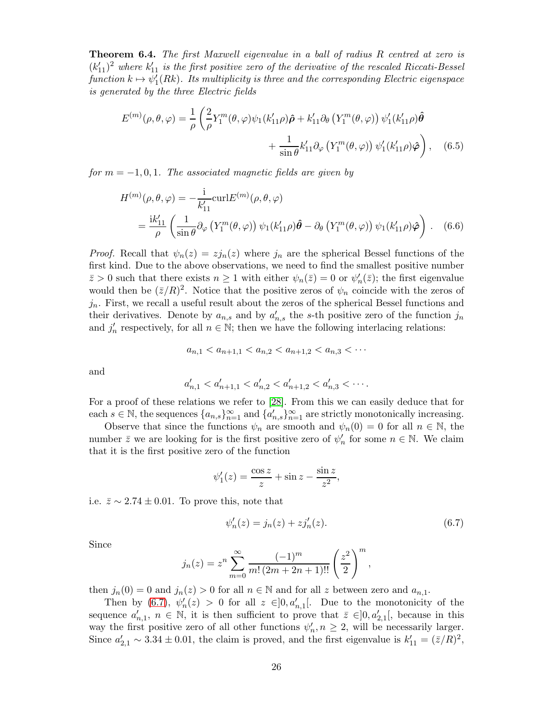<span id="page-25-0"></span>**Theorem 6.4.** The first Maxwell eigenvalue in a ball of radius R centred at zero is  $(k'_{11})^2$  where  $k'_{11}$  is the first positive zero of the derivative of the rescaled Riccati-Bessel function  $k \mapsto \psi_1'(Rk)$ . Its multiplicity is three and the corresponding Electric eigenspace is generated by the three Electric fields

$$
E^{(m)}(\rho,\theta,\varphi) = \frac{1}{\rho} \left( \frac{2}{\rho} Y_1^m(\theta,\varphi) \psi_1(k_{11}'\rho) \hat{\rho} + k_{11}' \partial_\theta \left( Y_1^m(\theta,\varphi) \right) \psi_1'(k_{11}'\rho) \hat{\theta} \right) + \frac{1}{\sin \theta} k_{11}' \partial_\varphi \left( Y_1^m(\theta,\varphi) \right) \psi_1'(k_{11}'\rho) \hat{\varphi} \right), \quad (6.5)
$$

for  $m = -1, 0, 1$ . The associated magnetic fields are given by

$$
H^{(m)}(\rho,\theta,\varphi) = -\frac{i}{k'_{11}} \text{curl} E^{(m)}(\rho,\theta,\varphi)
$$
  
= 
$$
\frac{ik'_{11}}{\rho} \left( \frac{1}{\sin \theta} \partial_{\varphi} \left( Y_1^m(\theta,\varphi) \right) \psi_1(k'_{11}\rho) \hat{\theta} - \partial_{\theta} \left( Y_1^m(\theta,\varphi) \right) \psi_1(k'_{11}\rho) \hat{\varphi} \right).
$$
 (6.6)

*Proof.* Recall that  $\psi_n(z) = zj_n(z)$  where  $j_n$  are the spherical Bessel functions of the first kind. Due to the above observations, we need to find the smallest positive number  $\bar{z} > 0$  such that there exists  $n \ge 1$  with either  $\psi_n(\bar{z}) = 0$  or  $\psi'_n(\bar{z})$ ; the first eigenvalue would then be  $(\bar{z}/R)^2$ . Notice that the positive zeros of  $\psi_n$  coincide with the zeros of  $j_n$ . First, we recall a useful result about the zeros of the spherical Bessel functions and their derivatives. Denote by  $a_{n,s}$  and by  $a'_{n,s}$  the s-th positive zero of the function  $j_n$ and  $j'_n$  respectively, for all  $n \in \mathbb{N}$ ; then we have the following interlacing relations:

$$
a_{n,1} < a_{n+1,1} < a_{n,2} < a_{n+1,2} < a_{n,3} < \cdots
$$

and

$$
a'_{n,1} < a'_{n+1,1} < a'_{n,2} < a'_{n+1,2} < a'_{n,3} < \cdots
$$

For a proof of these relations we refer to [\[28\]](#page-28-11). From this we can easily deduce that for each  $s \in \mathbb{N}$ , the sequences  $\{a_{n,s}\}_{n=1}^{\infty}$  and  $\{a'_{n,s}\}_{n=1}^{\infty}$  are strictly monotonically increasing.

Observe that since the functions  $\psi_n$  are smooth and  $\psi_n(0) = 0$  for all  $n \in \mathbb{N}$ , the number  $\bar{z}$  we are looking for is the first positive zero of  $\psi'_n$  for some  $n \in \mathbb{N}$ . We claim that it is the first positive zero of the function

$$
\psi_1'(z) = \frac{\cos z}{z} + \sin z - \frac{\sin z}{z^2},
$$

i.e.  $\bar{z} \sim 2.74 \pm 0.01$ . To prove this, note that

<span id="page-25-1"></span>
$$
\psi'_n(z) = j_n(z) + z j'_n(z). \tag{6.7}
$$

Since

$$
j_n(z) = z^n \sum_{m=0}^{\infty} \frac{(-1)^m}{m! (2m+2n+1)!!} \left(\frac{z^2}{2}\right)^m,
$$

then  $j_n(0) = 0$  and  $j_n(z) > 0$  for all  $n \in \mathbb{N}$  and for all z between zero and  $a_{n,1}$ .

Then by [\(6.7\)](#page-25-1),  $\psi'_n(z) > 0$  for all  $z \in ]0, a'_{n,1}[$ . Due to the monotonicity of the sequence  $a'_{n,1}$ ,  $n \in \mathbb{N}$ , it is then sufficient to prove that  $\overline{z} \in ]0, a'_{2,1}[$ , because in this way the first positive zero of all other functions  $\psi'_n, n \geq 2$ , will be necessarily larger. Since  $a'_{2,1} \sim 3.34 \pm 0.01$ , the claim is proved, and the first eigenvalue is  $k'_{11} = (\bar{z}/R)^2$ ,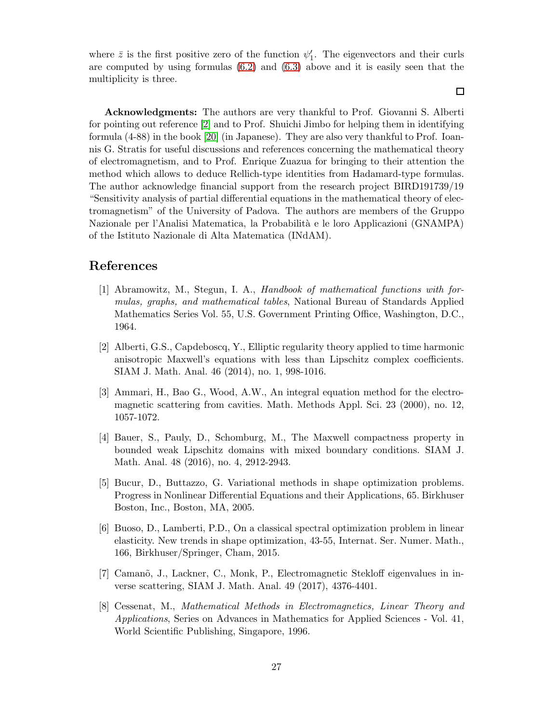where  $\bar{z}$  is the first positive zero of the function  $\psi'_1$ . The eigenvectors and their curls are computed by using formulas [\(6.2\)](#page-24-1) and [\(6.3\)](#page-24-2) above and it is easily seen that the multiplicity is three.

Acknowledgments: The authors are very thankful to Prof. Giovanni S. Alberti for pointing out reference [\[2\]](#page-26-6) and to Prof. Shuichi Jimbo for helping them in identifying formula (4-88) in the book [\[20\]](#page-27-9) (in Japanese). They are also very thankful to Prof. Ioannis G. Stratis for useful discussions and references concerning the mathematical theory of electromagnetism, and to Prof. Enrique Zuazua for bringing to their attention the method which allows to deduce Rellich-type identities from Hadamard-type formulas. The author acknowledge financial support from the research project BIRD191739/19 "Sensitivity analysis of partial differential equations in the mathematical theory of electromagnetism" of the University of Padova. The authors are members of the Gruppo Nazionale per l'Analisi Matematica, la Probabilit`a e le loro Applicazioni (GNAMPA) of the Istituto Nazionale di Alta Matematica (INdAM).

# <span id="page-26-7"></span>References

- [1] Abramowitz, M., Stegun, I. A., Handbook of mathematical functions with formulas, graphs, and mathematical tables, National Bureau of Standards Applied Mathematics Series Vol. 55, U.S. Government Printing Office, Washington, D.C., 1964.
- <span id="page-26-6"></span>[2] Alberti, G.S., Capdeboscq, Y., Elliptic regularity theory applied to time harmonic anisotropic Maxwell's equations with less than Lipschitz complex coefficients. SIAM J. Math. Anal. 46 (2014), no. 1, 998-1016.
- <span id="page-26-1"></span>[3] Ammari, H., Bao G., Wood, A.W., An integral equation method for the electromagnetic scattering from cavities. Math. Methods Appl. Sci. 23 (2000), no. 12, 1057-1072.
- <span id="page-26-2"></span>[4] Bauer, S., Pauly, D., Schomburg, M., The Maxwell compactness property in bounded weak Lipschitz domains with mixed boundary conditions. SIAM J. Math. Anal. 48 (2016), no. 4, 2912-2943.
- <span id="page-26-4"></span>[5] Bucur, D., Buttazzo, G. Variational methods in shape optimization problems. Progress in Nonlinear Differential Equations and their Applications, 65. Birkhuser Boston, Inc., Boston, MA, 2005.
- <span id="page-26-5"></span>[6] Buoso, D., Lamberti, P.D., On a classical spectral optimization problem in linear elasticity. New trends in shape optimization, 43-55, Internat. Ser. Numer. Math., 166, Birkhuser/Springer, Cham, 2015.
- <span id="page-26-3"></span>[7] Camanõ, J., Lackner, C., Monk, P., Electromagnetic Stekloff eigenvalues in inverse scattering, SIAM J. Math. Anal. 49 (2017), 4376-4401.
- <span id="page-26-0"></span>[8] Cessenat, M., Mathematical Methods in Electromagnetics, Linear Theory and Applications, Series on Advances in Mathematics for Applied Sciences - Vol. 41, World Scientific Publishing, Singapore, 1996.

 $\Box$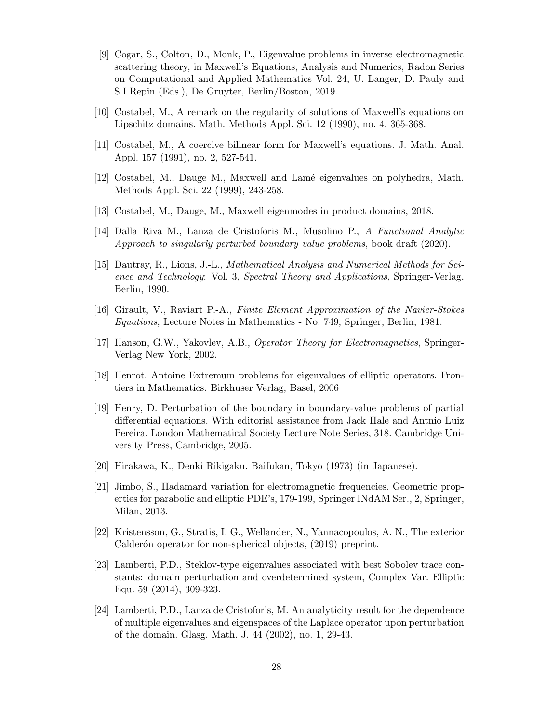- <span id="page-27-6"></span>[9] Cogar, S., Colton, D., Monk, P., Eigenvalue problems in inverse electromagnetic scattering theory, in Maxwell's Equations, Analysis and Numerics, Radon Series on Computational and Applied Mathematics Vol. 24, U. Langer, D. Pauly and S.I Repin (Eds.), De Gruyter, Berlin/Boston, 2019.
- <span id="page-27-4"></span><span id="page-27-3"></span>[10] Costabel, M., A remark on the regularity of solutions of Maxwell's equations on Lipschitz domains. Math. Methods Appl. Sci. 12 (1990), no. 4, 365-368.
- <span id="page-27-5"></span>[11] Costabel, M., A coercive bilinear form for Maxwell's equations. J. Math. Anal. Appl. 157 (1991), no. 2, 527-541.
- <span id="page-27-7"></span>[12] Costabel, M., Dauge M., Maxwell and Lam´e eigenvalues on polyhedra, Math. Methods Appl. Sci. 22 (1999), 243-258.
- <span id="page-27-12"></span>[13] Costabel, M., Dauge, M., Maxwell eigenmodes in product domains, 2018.
- <span id="page-27-1"></span>[14] Dalla Riva M., Lanza de Cristoforis M., Musolino P., A Functional Analytic Approach to singularly perturbed boundary value problems, book draft (2020).
- [15] Dautray, R., Lions, J.-L., Mathematical Analysis and Numerical Methods for Science and Technology: Vol. 3, Spectral Theory and Applications, Springer-Verlag, Berlin, 1990.
- <span id="page-27-2"></span><span id="page-27-0"></span>[16] Girault, V., Raviart P.-A., Finite Element Approximation of the Navier-Stokes Equations, Lecture Notes in Mathematics - No. 749, Springer, Berlin, 1981.
- [17] Hanson, G.W., Yakovlev, A.B., Operator Theory for Electromagnetics, Springer-Verlag New York, 2002.
- <span id="page-27-11"></span><span id="page-27-10"></span>[18] Henrot, Antoine Extremum problems for eigenvalues of elliptic operators. Frontiers in Mathematics. Birkhuser Verlag, Basel, 2006
- [19] Henry, D. Perturbation of the boundary in boundary-value problems of partial differential equations. With editorial assistance from Jack Hale and Antnio Luiz Pereira. London Mathematical Society Lecture Note Series, 318. Cambridge University Press, Cambridge, 2005.
- <span id="page-27-9"></span><span id="page-27-8"></span>[20] Hirakawa, K., Denki Rikigaku. Baifukan, Tokyo (1973) (in Japanese).
- [21] Jimbo, S., Hadamard variation for electromagnetic frequencies. Geometric properties for parabolic and elliptic PDE's, 179-199, Springer INdAM Ser., 2, Springer, Milan, 2013.
- <span id="page-27-14"></span>[22] Kristensson, G., Stratis, I. G., Wellander, N., Yannacopoulos, A. N., The exterior Calderón operator for non-spherical objects, (2019) preprint.
- [23] Lamberti, P.D., Steklov-type eigenvalues associated with best Sobolev trace constants: domain perturbation and overdetermined system, Complex Var. Elliptic Equ. 59 (2014), 309-323.
- <span id="page-27-13"></span>[24] Lamberti, P.D., Lanza de Cristoforis, M. An analyticity result for the dependence of multiple eigenvalues and eigenspaces of the Laplace operator upon perturbation of the domain. Glasg. Math. J. 44 (2002), no. 1, 29-43.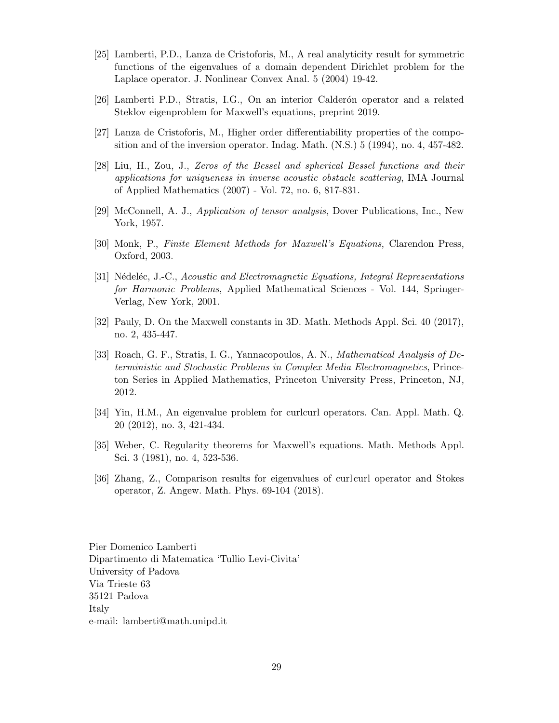- <span id="page-28-7"></span>[25] Lamberti, P.D., Lanza de Cristoforis, M., A real analyticity result for symmetric functions of the eigenvalues of a domain dependent Dirichlet problem for the Laplace operator. J. Nonlinear Convex Anal. 5 (2004) 19-42.
- <span id="page-28-8"></span><span id="page-28-3"></span>[26] Lamberti P.D., Stratis, I.G., On an interior Calderón operator and a related Steklov eigenproblem for Maxwell's equations, preprint 2019.
- <span id="page-28-11"></span>[27] Lanza de Cristoforis, M., Higher order differentiability properties of the composition and of the inversion operator. Indag. Math. (N.S.) 5 (1994), no. 4, 457-482.
- [28] Liu, H., Zou, J., Zeros of the Bessel and spherical Bessel functions and their applications for uniqueness in inverse acoustic obstacle scattering, IMA Journal of Applied Mathematics (2007) - Vol. 72, no. 6, 817-831.
- <span id="page-28-9"></span><span id="page-28-0"></span>[29] McConnell, A. J., Application of tensor analysis, Dover Publications, Inc., New York, 1957.
- <span id="page-28-1"></span>[30] Monk, P., Finite Element Methods for Maxwell's Equations, Clarendon Press, Oxford, 2003.
- [31] Nédeléc, J.-C., Acoustic and Electromagnetic Equations, Integral Representations for Harmonic Problems, Applied Mathematical Sciences - Vol. 144, Springer-Verlag, New York, 2001.
- <span id="page-28-4"></span><span id="page-28-2"></span>[32] Pauly, D. On the Maxwell constants in 3D. Math. Methods Appl. Sci. 40 (2017), no. 2, 435-447.
- [33] Roach, G. F., Stratis, I. G., Yannacopoulos, A. N., Mathematical Analysis of Deterministic and Stochastic Problems in Complex Media Electromagnetics, Princeton Series in Applied Mathematics, Princeton University Press, Princeton, NJ, 2012.
- <span id="page-28-5"></span>[34] Yin, H.M., An eigenvalue problem for curlcurl operators. Can. Appl. Math. Q. 20 (2012), no. 3, 421-434.
- <span id="page-28-10"></span><span id="page-28-6"></span>[35] Weber, C. Regularity theorems for Maxwell's equations. Math. Methods Appl. Sci. 3 (1981), no. 4, 523-536.
- [36] Zhang, Z., Comparison results for eigenvalues of curlcurl operator and Stokes operator, Z. Angew. Math. Phys. 69-104 (2018).

Pier Domenico Lamberti Dipartimento di Matematica 'Tullio Levi-Civita' University of Padova Via Trieste 63 35121 Padova Italy e-mail: lamberti@math.unipd.it